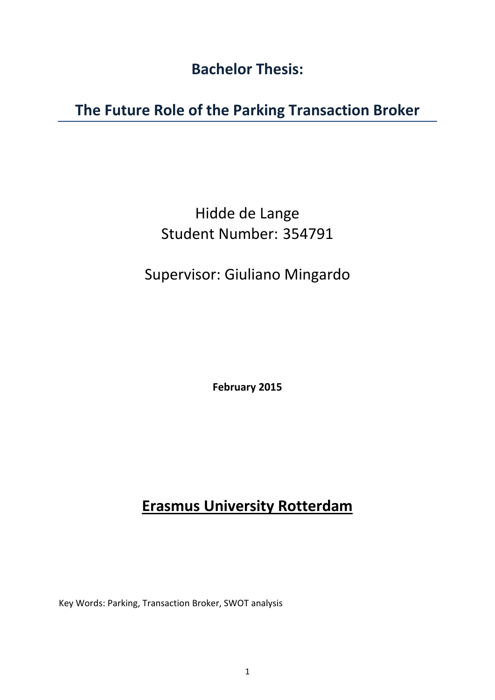Bachelor Thesis:

The Future Role of the Parking Transaction Broker

# Hidde de Lange Student Number: 354791

# Supervisor: Giuliano Mingardo

February 2015

# Erasmus University Rotterdam

Key Words: Parking, Transaction Broker, SWOT analysis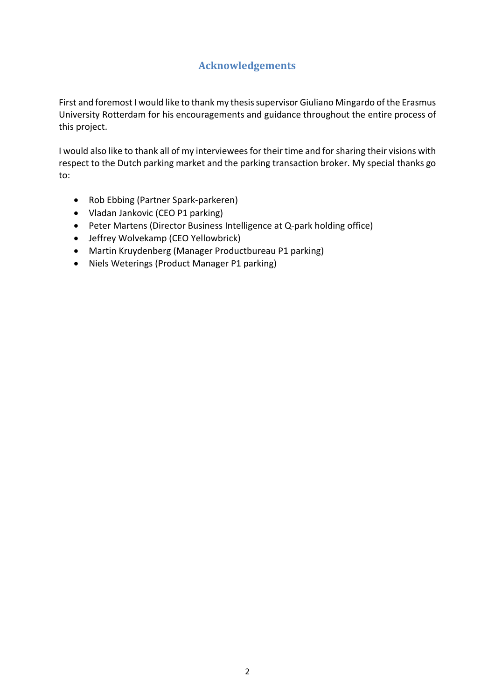# Acknowledgements

<span id="page-1-0"></span>First and foremost I would like to thank my thesis supervisor Giuliano Mingardo of the Erasmus University Rotterdam for his encouragements and guidance throughout the entire process of this project.

I would also like to thank all of my interviewees for their time and for sharing their visions with respect to the Dutch parking market and the parking transaction broker. My special thanks go to:

- Rob Ebbing (Partner Spark-parkeren)
- Vladan Jankovic (CEO P1 parking)
- Peter Martens (Director Business Intelligence at Q-park holding office)
- Jeffrey Wolvekamp (CEO Yellowbrick)
- Martin Kruydenberg (Manager Productbureau P1 parking)
- Niels Weterings (Product Manager P1 parking)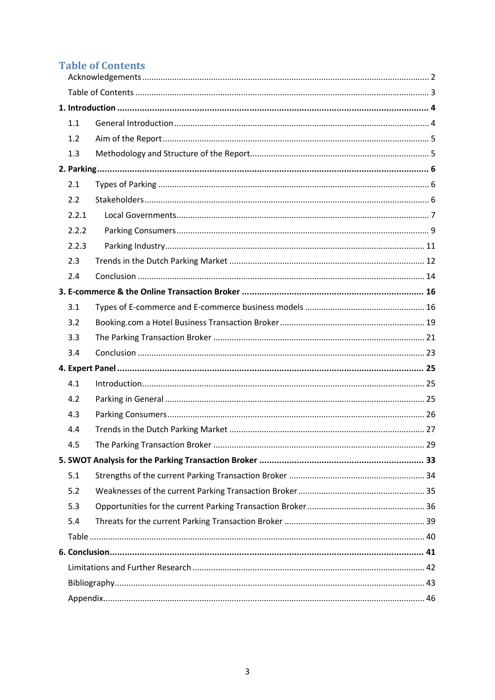# <span id="page-2-0"></span>**Table of Contents**

| 1.1   |  |  |  |
|-------|--|--|--|
| 1.2   |  |  |  |
| 1.3   |  |  |  |
|       |  |  |  |
| 2.1   |  |  |  |
| 2.2   |  |  |  |
| 2.2.1 |  |  |  |
| 2.2.2 |  |  |  |
| 2.2.3 |  |  |  |
| 2.3   |  |  |  |
| 2.4   |  |  |  |
|       |  |  |  |
| 3.1   |  |  |  |
| 3.2   |  |  |  |
| 3.3   |  |  |  |
| 3.4   |  |  |  |
|       |  |  |  |
| 4.1   |  |  |  |
| 4.2   |  |  |  |
| 4.3   |  |  |  |
| 4.4   |  |  |  |
| 45    |  |  |  |
|       |  |  |  |
| 5.1   |  |  |  |
| 5.2   |  |  |  |
| 5.3   |  |  |  |
| 5.4   |  |  |  |
|       |  |  |  |
|       |  |  |  |
|       |  |  |  |
|       |  |  |  |
|       |  |  |  |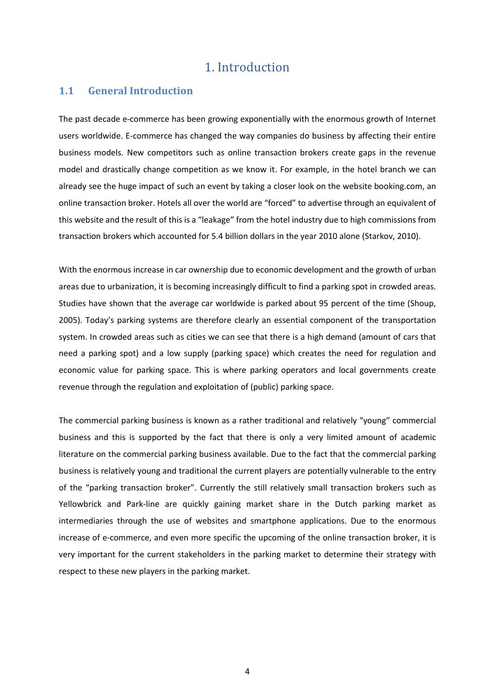# 1. Introduction

## <span id="page-3-1"></span><span id="page-3-0"></span>1.1 General Introduction

The past decade e-commerce has been growing exponentially with the enormous growth of Internet users worldwide. E-commerce has changed the way companies do business by affecting their entire business models. New competitors such as online transaction brokers create gaps in the revenue model and drastically change competition as we know it. For example, in the hotel branch we can already see the huge impact of such an event by taking a closer look on the website booking.com, an online transaction broker. Hotels all over the world are "forced" to advertise through an equivalent of this website and the result of this is a "leakage" from the hotel industry due to high commissions from transaction brokers which accounted for 5.4 billion dollars in the year 2010 alone (Starkov, 2010).

With the enormous increase in car ownership due to economic development and the growth of urban areas due to urbanization, it is becoming increasingly difficult to find a parking spot in crowded areas. Studies have shown that the average car worldwide is parked about 95 percent of the time (Shoup, 2005). Today's parking systems are therefore clearly an essential component of the transportation system. In crowded areas such as cities we can see that there is a high demand (amount of cars that need a parking spot) and a low supply (parking space) which creates the need for regulation and economic value for parking space. This is where parking operators and local governments create revenue through the regulation and exploitation of (public) parking space.

The commercial parking business is known as a rather traditional and relatively "young" commercial business and this is supported by the fact that there is only a very limited amount of academic literature on the commercial parking business available. Due to the fact that the commercial parking business is relatively young and traditional the current players are potentially vulnerable to the entry of the "parking transaction broker". Currently the still relatively small transaction brokers such as Yellowbrick and Park-line are quickly gaining market share in the Dutch parking market as intermediaries through the use of websites and smartphone applications. Due to the enormous increase of e-commerce, and even more specific the upcoming of the online transaction broker, it is very important for the current stakeholders in the parking market to determine their strategy with respect to these new players in the parking market.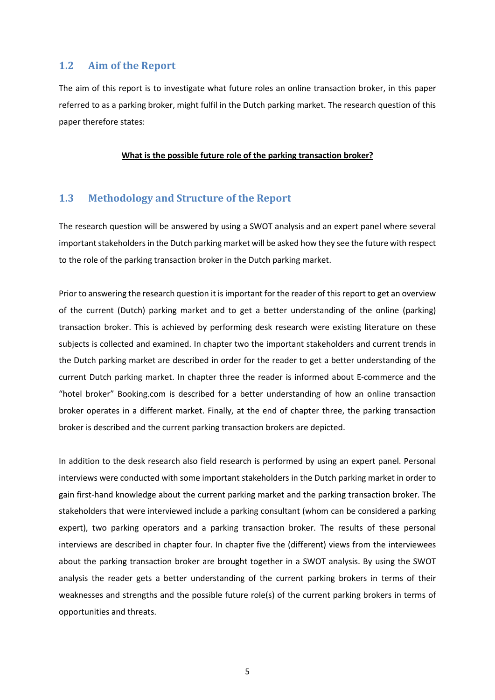### <span id="page-4-0"></span>1.2 Aim of the Report

The aim of this report is to investigate what future roles an online transaction broker, in this paper referred to as a parking broker, might fulfil in the Dutch parking market. The research question of this paper therefore states:

#### What is the possible future role of the parking transaction broker?

## <span id="page-4-1"></span>1.3 Methodology and Structure of the Report

The research question will be answered by using a SWOT analysis and an expert panel where several important stakeholders in the Dutch parking market will be asked how they see the future with respect to the role of the parking transaction broker in the Dutch parking market.

Prior to answering the research question it is important for the reader of this report to get an overview of the current (Dutch) parking market and to get a better understanding of the online (parking) transaction broker. This is achieved by performing desk research were existing literature on these subjects is collected and examined. In chapter two the important stakeholders and current trends in the Dutch parking market are described in order for the reader to get a better understanding of the current Dutch parking market. In chapter three the reader is informed about E-commerce and the "hotel broker" Booking.com is described for a better understanding of how an online transaction broker operates in a different market. Finally, at the end of chapter three, the parking transaction broker is described and the current parking transaction brokers are depicted.

In addition to the desk research also field research is performed by using an expert panel. Personal interviews were conducted with some important stakeholders in the Dutch parking market in order to gain first-hand knowledge about the current parking market and the parking transaction broker. The stakeholders that were interviewed include a parking consultant (whom can be considered a parking expert), two parking operators and a parking transaction broker. The results of these personal interviews are described in chapter four. In chapter five the (different) views from the interviewees about the parking transaction broker are brought together in a SWOT analysis. By using the SWOT analysis the reader gets a better understanding of the current parking brokers in terms of their weaknesses and strengths and the possible future role(s) of the current parking brokers in terms of opportunities and threats.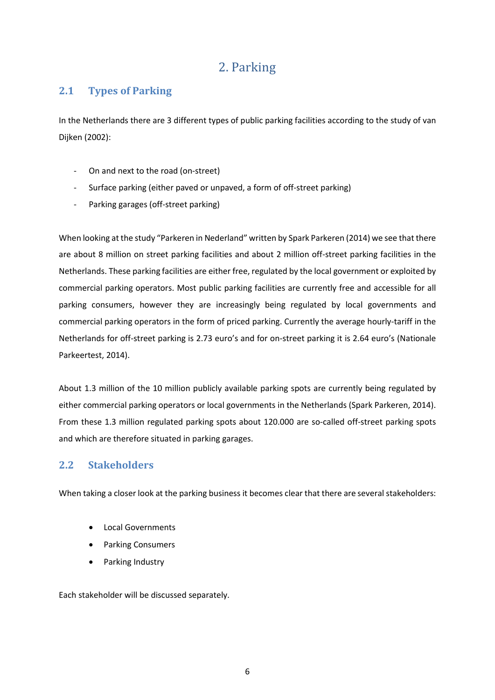# 2. Parking

## <span id="page-5-1"></span><span id="page-5-0"></span>2.1 Types of Parking

In the Netherlands there are 3 different types of public parking facilities according to the study of van Dijken (2002):

- On and next to the road (on-street)
- Surface parking (either paved or unpaved, a form of off-street parking)
- Parking garages (off-street parking)

When looking at the study "Parkeren in Nederland" written by Spark Parkeren (2014) we see that there are about 8 million on street parking facilities and about 2 million off-street parking facilities in the Netherlands. These parking facilities are either free, regulated by the local government or exploited by commercial parking operators. Most public parking facilities are currently free and accessible for all parking consumers, however they are increasingly being regulated by local governments and commercial parking operators in the form of priced parking. Currently the average hourly-tariff in the Netherlands for off-street parking is 2.73 euro's and for on-street parking it is 2.64 euro's (Nationale Parkeertest, 2014).

About 1.3 million of the 10 million publicly available parking spots are currently being regulated by either commercial parking operators or local governments in the Netherlands (Spark Parkeren, 2014). From these 1.3 million regulated parking spots about 120.000 are so-called off-street parking spots and which are therefore situated in parking garages.

# <span id="page-5-2"></span>2.2 Stakeholders

When taking a closer look at the parking business it becomes clear that there are several stakeholders:

- Local Governments
- Parking Consumers
- Parking Industry

Each stakeholder will be discussed separately.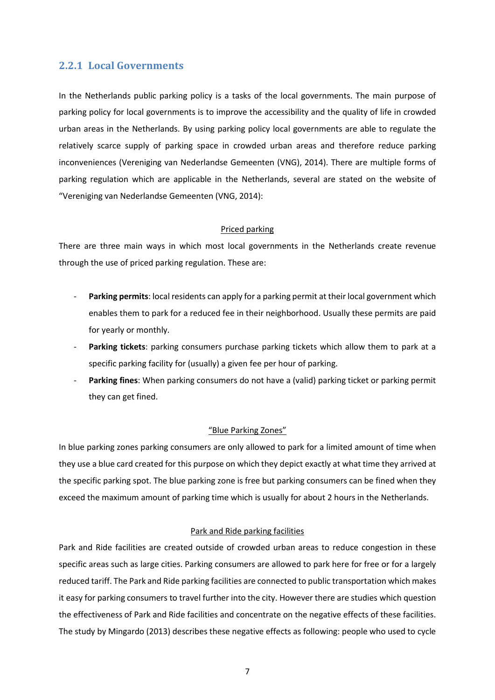## <span id="page-6-0"></span>2.2.1 Local Governments

In the Netherlands public parking policy is a tasks of the local governments. The main purpose of parking policy for local governments is to improve the accessibility and the quality of life in crowded urban areas in the Netherlands. By using parking policy local governments are able to regulate the relatively scarce supply of parking space in crowded urban areas and therefore reduce parking inconveniences (Vereniging van Nederlandse Gemeenten (VNG), 2014). There are multiple forms of parking regulation which are applicable in the Netherlands, several are stated on the website of "Vereniging van Nederlandse Gemeenten (VNG, 2014):

#### Priced parking

There are three main ways in which most local governments in the Netherlands create revenue through the use of priced parking regulation. These are:

- Parking permits: local residents can apply for a parking permit at their local government which enables them to park for a reduced fee in their neighborhood. Usually these permits are paid for yearly or monthly.
- Parking tickets: parking consumers purchase parking tickets which allow them to park at a specific parking facility for (usually) a given fee per hour of parking.
- Parking fines: When parking consumers do not have a (valid) parking ticket or parking permit they can get fined.

#### "Blue Parking Zones"

In blue parking zones parking consumers are only allowed to park for a limited amount of time when they use a blue card created for this purpose on which they depict exactly at what time they arrived at the specific parking spot. The blue parking zone is free but parking consumers can be fined when they exceed the maximum amount of parking time which is usually for about 2 hours in the Netherlands.

#### Park and Ride parking facilities

Park and Ride facilities are created outside of crowded urban areas to reduce congestion in these specific areas such as large cities. Parking consumers are allowed to park here for free or for a largely reduced tariff. The Park and Ride parking facilities are connected to public transportation which makes it easy for parking consumers to travel further into the city. However there are studies which question the effectiveness of Park and Ride facilities and concentrate on the negative effects of these facilities. The study by Mingardo (2013) describes these negative effects as following: people who used to cycle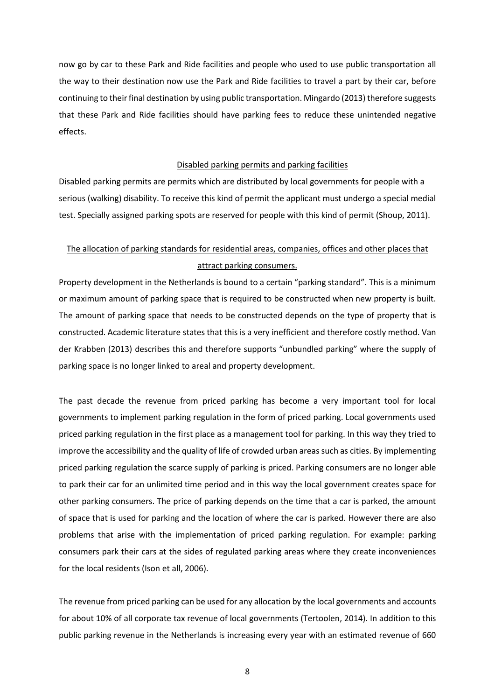now go by car to these Park and Ride facilities and people who used to use public transportation all the way to their destination now use the Park and Ride facilities to travel a part by their car, before continuing to their final destination by using public transportation. Mingardo (2013) therefore suggests that these Park and Ride facilities should have parking fees to reduce these unintended negative effects.

#### Disabled parking permits and parking facilities

Disabled parking permits are permits which are distributed by local governments for people with a serious (walking) disability. To receive this kind of permit the applicant must undergo a special medial test. Specially assigned parking spots are reserved for people with this kind of permit (Shoup, 2011).

# The allocation of parking standards for residential areas, companies, offices and other places that attract parking consumers.

Property development in the Netherlands is bound to a certain "parking standard". This is a minimum or maximum amount of parking space that is required to be constructed when new property is built. The amount of parking space that needs to be constructed depends on the type of property that is constructed. Academic literature states that this is a very inefficient and therefore costly method. Van der Krabben (2013) describes this and therefore supports "unbundled parking" where the supply of parking space is no longer linked to areal and property development.

The past decade the revenue from priced parking has become a very important tool for local governments to implement parking regulation in the form of priced parking. Local governments used priced parking regulation in the first place as a management tool for parking. In this way they tried to improve the accessibility and the quality of life of crowded urban areas such as cities. By implementing priced parking regulation the scarce supply of parking is priced. Parking consumers are no longer able to park their car for an unlimited time period and in this way the local government creates space for other parking consumers. The price of parking depends on the time that a car is parked, the amount of space that is used for parking and the location of where the car is parked. However there are also problems that arise with the implementation of priced parking regulation. For example: parking consumers park their cars at the sides of regulated parking areas where they create inconveniences for the local residents (Ison et all, 2006).

The revenue from priced parking can be used for any allocation by the local governments and accounts for about 10% of all corporate tax revenue of local governments (Tertoolen, 2014). In addition to this public parking revenue in the Netherlands is increasing every year with an estimated revenue of 660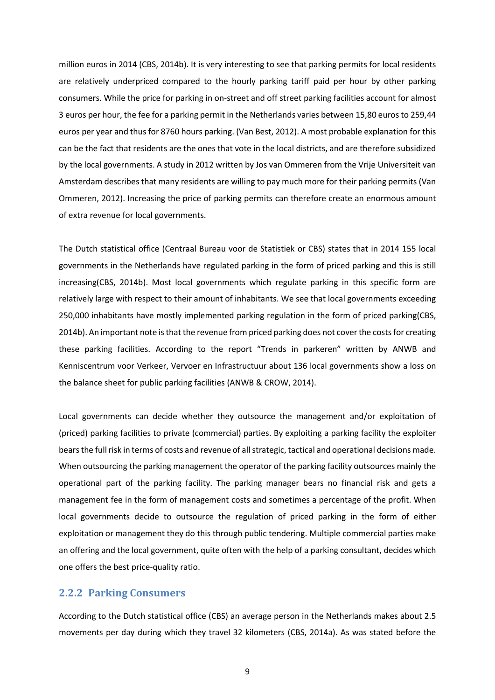million euros in 2014 (CBS, 2014b). It is very interesting to see that parking permits for local residents are relatively underpriced compared to the hourly parking tariff paid per hour by other parking consumers. While the price for parking in on-street and off street parking facilities account for almost 3 euros per hour, the fee for a parking permit in the Netherlands varies between 15,80 euros to 259,44 euros per year and thus for 8760 hours parking. (Van Best, 2012). A most probable explanation for this can be the fact that residents are the ones that vote in the local districts, and are therefore subsidized by the local governments. A study in 2012 written by Jos van Ommeren from the Vrije Universiteit van Amsterdam describes that many residents are willing to pay much more for their parking permits (Van Ommeren, 2012). Increasing the price of parking permits can therefore create an enormous amount of extra revenue for local governments.

The Dutch statistical office (Centraal Bureau voor de Statistiek or CBS) states that in 2014 155 local governments in the Netherlands have regulated parking in the form of priced parking and this is still increasing(CBS, 2014b). Most local governments which regulate parking in this specific form are relatively large with respect to their amount of inhabitants. We see that local governments exceeding 250,000 inhabitants have mostly implemented parking regulation in the form of priced parking(CBS, 2014b). An important note is that the revenue from priced parking does not cover the costs for creating these parking facilities. According to the report "Trends in parkeren" written by ANWB and Kenniscentrum voor Verkeer, Vervoer en Infrastructuur about 136 local governments show a loss on the balance sheet for public parking facilities (ANWB & CROW, 2014).

Local governments can decide whether they outsource the management and/or exploitation of (priced) parking facilities to private (commercial) parties. By exploiting a parking facility the exploiter bears the full risk in terms of costs and revenue of all strategic, tactical and operational decisions made. When outsourcing the parking management the operator of the parking facility outsources mainly the operational part of the parking facility. The parking manager bears no financial risk and gets a management fee in the form of management costs and sometimes a percentage of the profit. When local governments decide to outsource the regulation of priced parking in the form of either exploitation or management they do this through public tendering. Multiple commercial parties make an offering and the local government, quite often with the help of a parking consultant, decides which one offers the best price-quality ratio.

### <span id="page-8-0"></span>2.2.2 Parking Consumers

According to the Dutch statistical office (CBS) an average person in the Netherlands makes about 2.5 movements per day during which they travel 32 kilometers (CBS, 2014a). As was stated before the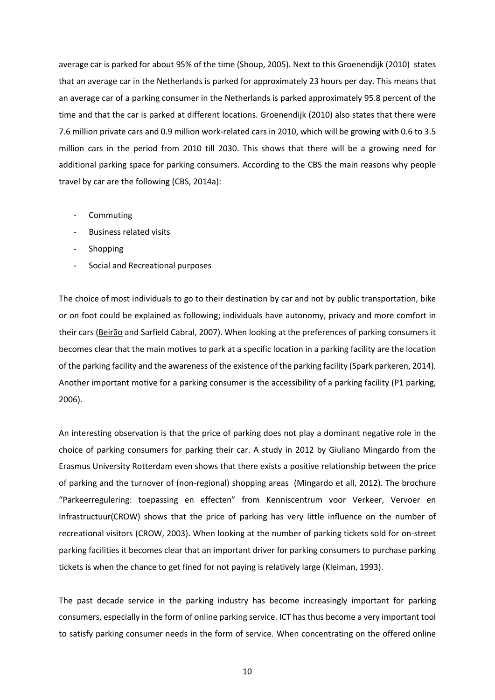average car is parked for about 95% of the time (Shoup, 2005). Next to this Groenendijk (2010) states that an average car in the Netherlands is parked for approximately 23 hours per day. This means that an average car of a parking consumer in the Netherlands is parked approximately 95.8 percent of the time and that the car is parked at different locations. Groenendijk (2010) also states that there were 7.6 million private cars and 0.9 million work-related cars in 2010, which will be growing with 0.6 to 3.5 million cars in the period from 2010 till 2030. This shows that there will be a growing need for additional parking space for parking consumers. According to the CBS the main reasons why people travel by car are the following (CBS, 2014a):

- Commuting
- Business related visits
- **Shopping**
- Social and Recreational purposes

The choice of most individuals to go to their destination by car and not by public transportation, bike or on foot could be explained as following; individuals have autonomy, privacy and more comfort in their cars [\(Beirão](http://www.sciencedirect.com/science/article/pii/S0967070X07000522) and Sarfield Cabral, 2007). When looking at the preferences of parking consumers it becomes clear that the main motives to park at a specific location in a parking facility are the location of the parking facility and the awareness of the existence of the parking facility (Spark parkeren, 2014). Another important motive for a parking consumer is the accessibility of a parking facility (P1 parking, 2006).

An interesting observation is that the price of parking does not play a dominant negative role in the choice of parking consumers for parking their car. A study in 2012 by Giuliano Mingardo from the Erasmus University Rotterdam even shows that there exists a positive relationship between the price of parking and the turnover of (non-regional) shopping areas (Mingardo et all, 2012). The brochure "Parkeerregulering: toepassing en effecten" from Kenniscentrum voor Verkeer, Vervoer en Infrastructuur(CROW) shows that the price of parking has very little influence on the number of recreational visitors (CROW, 2003). When looking at the number of parking tickets sold for on-street parking facilities it becomes clear that an important driver for parking consumers to purchase parking tickets is when the chance to get fined for not paying is relatively large (Kleiman, 1993).

The past decade service in the parking industry has become increasingly important for parking consumers, especially in the form of online parking service. ICT has thus become a very important tool to satisfy parking consumer needs in the form of service. When concentrating on the offered online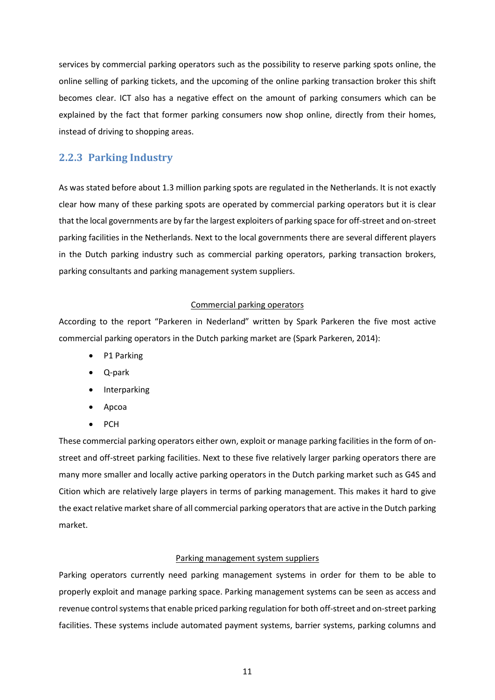services by commercial parking operators such as the possibility to reserve parking spots online, the online selling of parking tickets, and the upcoming of the online parking transaction broker this shift becomes clear. ICT also has a negative effect on the amount of parking consumers which can be explained by the fact that former parking consumers now shop online, directly from their homes, instead of driving to shopping areas.

## <span id="page-10-0"></span>2.2.3 Parking Industry

As was stated before about 1.3 million parking spots are regulated in the Netherlands. It is not exactly clear how many of these parking spots are operated by commercial parking operators but it is clear that the local governments are by farthe largest exploiters of parking space for off-street and on-street parking facilities in the Netherlands. Next to the local governments there are several different players in the Dutch parking industry such as commercial parking operators, parking transaction brokers, parking consultants and parking management system suppliers.

## Commercial parking operators

According to the report "Parkeren in Nederland" written by Spark Parkeren the five most active commercial parking operators in the Dutch parking market are (Spark Parkeren, 2014):

- P1 Parking
- Q-park
- Interparking
- Apcoa
- PCH

These commercial parking operators either own, exploit or manage parking facilities in the form of onstreet and off-street parking facilities. Next to these five relatively larger parking operators there are many more smaller and locally active parking operators in the Dutch parking market such as G4S and Cition which are relatively large players in terms of parking management. This makes it hard to give the exact relative market share of all commercial parking operatorsthat are active in the Dutch parking market.

## Parking management system suppliers

Parking operators currently need parking management systems in order for them to be able to properly exploit and manage parking space. Parking management systems can be seen as access and revenue control systems that enable priced parking regulation for both off-street and on-street parking facilities. These systems include automated payment systems, barrier systems, parking columns and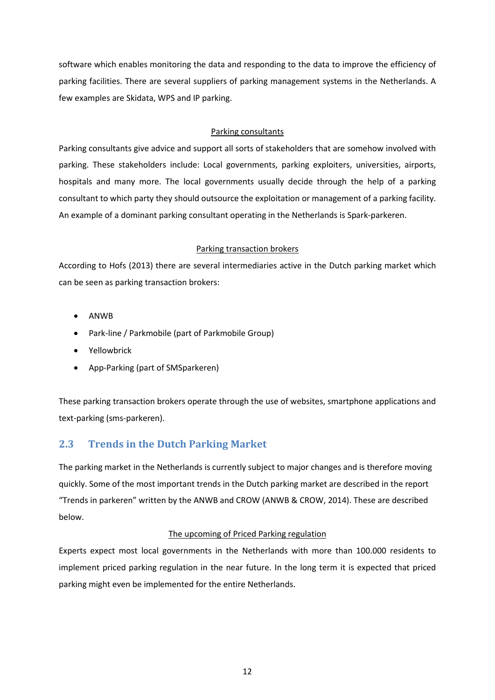software which enables monitoring the data and responding to the data to improve the efficiency of parking facilities. There are several suppliers of parking management systems in the Netherlands. A few examples are Skidata, WPS and IP parking.

## Parking consultants

Parking consultants give advice and support all sorts of stakeholders that are somehow involved with parking. These stakeholders include: Local governments, parking exploiters, universities, airports, hospitals and many more. The local governments usually decide through the help of a parking consultant to which party they should outsource the exploitation or management of a parking facility. An example of a dominant parking consultant operating in the Netherlands is Spark-parkeren.

#### Parking transaction brokers

According to Hofs (2013) there are several intermediaries active in the Dutch parking market which can be seen as parking transaction brokers:

- ANWB
- Park-line / Parkmobile (part of Parkmobile Group)
- Yellowbrick
- App-Parking (part of SMSparkeren)

These parking transaction brokers operate through the use of websites, smartphone applications and text-parking (sms-parkeren).

# <span id="page-11-0"></span>2.3 Trends in the Dutch Parking Market

The parking market in the Netherlands is currently subject to major changes and is therefore moving quickly. Some of the most important trends in the Dutch parking market are described in the report "Trends in parkeren" written by the ANWB and CROW (ANWB & CROW, 2014). These are described below.

## The upcoming of Priced Parking regulation

Experts expect most local governments in the Netherlands with more than 100.000 residents to implement priced parking regulation in the near future. In the long term it is expected that priced parking might even be implemented for the entire Netherlands.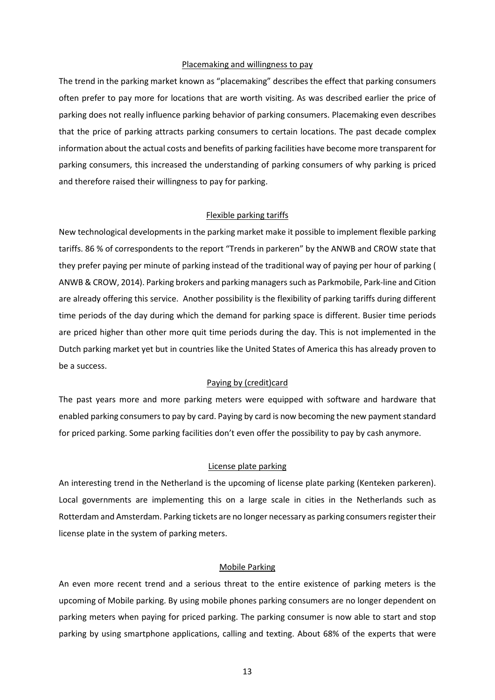#### Placemaking and willingness to pay

The trend in the parking market known as "placemaking" describes the effect that parking consumers often prefer to pay more for locations that are worth visiting. As was described earlier the price of parking does not really influence parking behavior of parking consumers. Placemaking even describes that the price of parking attracts parking consumers to certain locations. The past decade complex information about the actual costs and benefits of parking facilities have become more transparent for parking consumers, this increased the understanding of parking consumers of why parking is priced and therefore raised their willingness to pay for parking.

#### Flexible parking tariffs

New technological developments in the parking market make it possible to implement flexible parking tariffs. 86 % of correspondents to the report "Trends in parkeren" by the ANWB and CROW state that they prefer paying per minute of parking instead of the traditional way of paying per hour of parking ( ANWB & CROW, 2014). Parking brokers and parking managers such as Parkmobile, Park-line and Cition are already offering this service. Another possibility is the flexibility of parking tariffs during different time periods of the day during which the demand for parking space is different. Busier time periods are priced higher than other more quit time periods during the day. This is not implemented in the Dutch parking market yet but in countries like the United States of America this has already proven to be a success.

#### Paying by (credit)card

The past years more and more parking meters were equipped with software and hardware that enabled parking consumers to pay by card. Paying by card is now becoming the new payment standard for priced parking. Some parking facilities don't even offer the possibility to pay by cash anymore.

#### License plate parking

An interesting trend in the Netherland is the upcoming of license plate parking (Kenteken parkeren). Local governments are implementing this on a large scale in cities in the Netherlands such as Rotterdam and Amsterdam. Parking tickets are no longer necessary as parking consumers register their license plate in the system of parking meters.

#### Mobile Parking

An even more recent trend and a serious threat to the entire existence of parking meters is the upcoming of Mobile parking. By using mobile phones parking consumers are no longer dependent on parking meters when paying for priced parking. The parking consumer is now able to start and stop parking by using smartphone applications, calling and texting. About 68% of the experts that were

13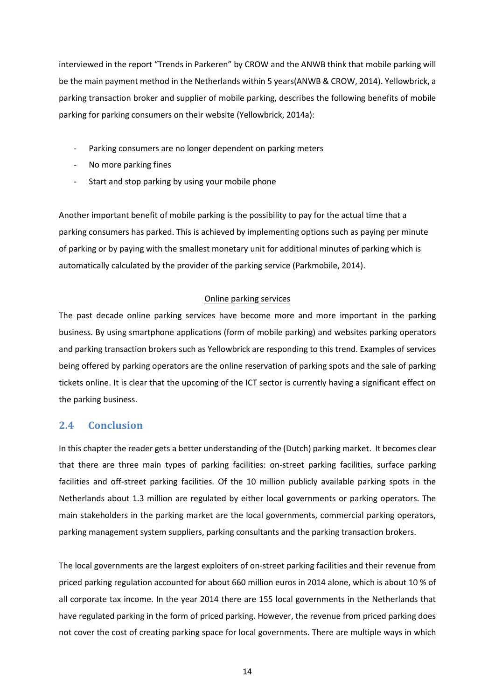interviewed in the report "Trends in Parkeren" by CROW and the ANWB think that mobile parking will be the main payment method in the Netherlands within 5 years(ANWB & CROW, 2014). Yellowbrick, a parking transaction broker and supplier of mobile parking, describes the following benefits of mobile parking for parking consumers on their website (Yellowbrick, 2014a):

- Parking consumers are no longer dependent on parking meters
- No more parking fines
- Start and stop parking by using your mobile phone

Another important benefit of mobile parking is the possibility to pay for the actual time that a parking consumers has parked. This is achieved by implementing options such as paying per minute of parking or by paying with the smallest monetary unit for additional minutes of parking which is automatically calculated by the provider of the parking service (Parkmobile, 2014).

#### Online parking services

The past decade online parking services have become more and more important in the parking business. By using smartphone applications (form of mobile parking) and websites parking operators and parking transaction brokers such as Yellowbrick are responding to this trend. Examples of services being offered by parking operators are the online reservation of parking spots and the sale of parking tickets online. It is clear that the upcoming of the ICT sector is currently having a significant effect on the parking business.

## <span id="page-13-0"></span>2.4 Conclusion

In this chapter the reader gets a better understanding of the (Dutch) parking market. It becomes clear that there are three main types of parking facilities: on-street parking facilities, surface parking facilities and off-street parking facilities. Of the 10 million publicly available parking spots in the Netherlands about 1.3 million are regulated by either local governments or parking operators. The main stakeholders in the parking market are the local governments, commercial parking operators, parking management system suppliers, parking consultants and the parking transaction brokers.

The local governments are the largest exploiters of on-street parking facilities and their revenue from priced parking regulation accounted for about 660 million euros in 2014 alone, which is about 10 % of all corporate tax income. In the year 2014 there are 155 local governments in the Netherlands that have regulated parking in the form of priced parking. However, the revenue from priced parking does not cover the cost of creating parking space for local governments. There are multiple ways in which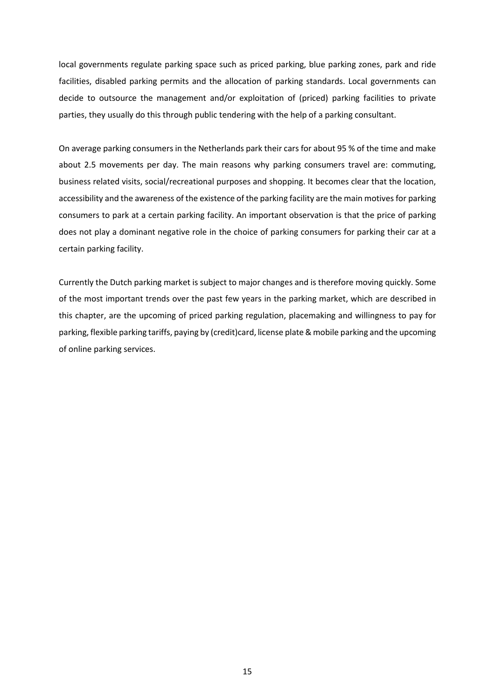local governments regulate parking space such as priced parking, blue parking zones, park and ride facilities, disabled parking permits and the allocation of parking standards. Local governments can decide to outsource the management and/or exploitation of (priced) parking facilities to private parties, they usually do this through public tendering with the help of a parking consultant.

On average parking consumers in the Netherlands park their cars for about 95 % of the time and make about 2.5 movements per day. The main reasons why parking consumers travel are: commuting, business related visits, social/recreational purposes and shopping. It becomes clear that the location, accessibility and the awareness of the existence of the parking facility are the main motives for parking consumers to park at a certain parking facility. An important observation is that the price of parking does not play a dominant negative role in the choice of parking consumers for parking their car at a certain parking facility.

Currently the Dutch parking market is subject to major changes and is therefore moving quickly. Some of the most important trends over the past few years in the parking market, which are described in this chapter, are the upcoming of priced parking regulation, placemaking and willingness to pay for parking, flexible parking tariffs, paying by (credit)card, license plate & mobile parking and the upcoming of online parking services.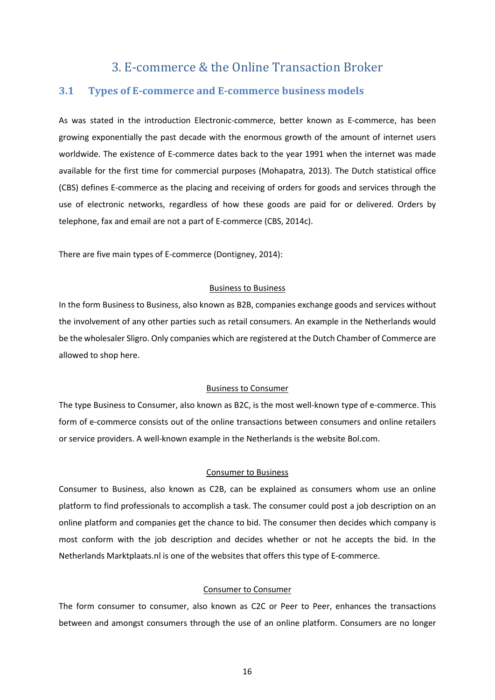# 3. E-commerce & the Online Transaction Broker

## <span id="page-15-1"></span><span id="page-15-0"></span>3.1 Types of E-commerce and E-commerce business models

As was stated in the introduction Electronic-commerce, better known as E-commerce, has been growing exponentially the past decade with the enormous growth of the amount of internet users worldwide. The existence of E-commerce dates back to the year 1991 when the internet was made available for the first time for commercial purposes (Mohapatra, 2013). The Dutch statistical office (CBS) defines E-commerce as the placing and receiving of orders for goods and services through the use of electronic networks, regardless of how these goods are paid for or delivered. Orders by telephone, fax and email are not a part of E-commerce (CBS, 2014c).

There are five main types of E-commerce (Dontigney, 2014):

#### Business to Business

In the form Business to Business, also known as B2B, companies exchange goods and services without the involvement of any other parties such as retail consumers. An example in the Netherlands would be the wholesaler Sligro. Only companies which are registered at the Dutch Chamber of Commerce are allowed to shop here.

#### Business to Consumer

The type Business to Consumer, also known as B2C, is the most well-known type of e-commerce. This form of e-commerce consists out of the online transactions between consumers and online retailers or service providers. A well-known example in the Netherlands is the website Bol.com.

#### Consumer to Business

Consumer to Business, also known as C2B, can be explained as consumers whom use an online platform to find professionals to accomplish a task. The consumer could post a job description on an online platform and companies get the chance to bid. The consumer then decides which company is most conform with the job description and decides whether or not he accepts the bid. In the Netherlands Marktplaats.nl is one of the websites that offers this type of E-commerce.

#### Consumer to Consumer

The form consumer to consumer, also known as C2C or Peer to Peer, enhances the transactions between and amongst consumers through the use of an online platform. Consumers are no longer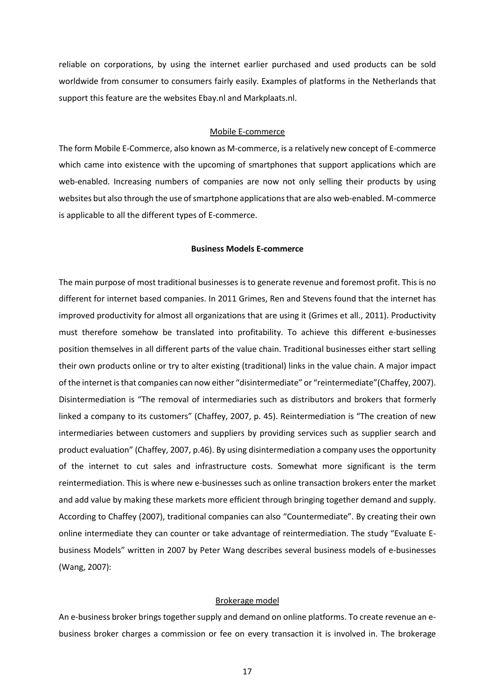reliable on corporations, by using the internet earlier purchased and used products can be sold worldwide from consumer to consumers fairly easily. Examples of platforms in the Netherlands that support this feature are the websites Ebay.nl and Markplaats.nl.

#### Mobile E-commerce

The form Mobile E-Commerce, also known as M-commerce, is a relatively new concept of E-commerce which came into existence with the upcoming of smartphones that support applications which are web-enabled. Increasing numbers of companies are now not only selling their products by using websites but also through the use of smartphone applicationsthat are also web-enabled. M-commerce is applicable to all the different types of E-commerce.

#### Business Models E-commerce

The main purpose of most traditional businesses is to generate revenue and foremost profit. This is no different for internet based companies. In 2011 Grimes, Ren and Stevens found that the internet has improved productivity for almost all organizations that are using it (Grimes et all., 2011). Productivity must therefore somehow be translated into profitability. To achieve this different e-businesses position themselves in all different parts of the value chain. Traditional businesses either start selling their own products online or try to alter existing (traditional) links in the value chain. A major impact of the internet is that companies can now either "disintermediate" or "reintermediate"(Chaffey, 2007). Disintermediation is "The removal of intermediaries such as distributors and brokers that formerly linked a company to its customers" (Chaffey, 2007, p. 45). Reintermediation is "The creation of new intermediaries between customers and suppliers by providing services such as supplier search and product evaluation" (Chaffey, 2007, p.46). By using disintermediation a company uses the opportunity of the internet to cut sales and infrastructure costs. Somewhat more significant is the term reintermediation. This is where new e-businesses such as online transaction brokers enter the market and add value by making these markets more efficient through bringing together demand and supply. According to Chaffey (2007), traditional companies can also "Countermediate". By creating their own online intermediate they can counter or take advantage of reintermediation. The study "Evaluate Ebusiness Models" written in 2007 by Peter Wang describes several business models of e-businesses (Wang, 2007):

#### Brokerage model

An e-business broker brings together supply and demand on online platforms. To create revenue an ebusiness broker charges a commission or fee on every transaction it is involved in. The brokerage

17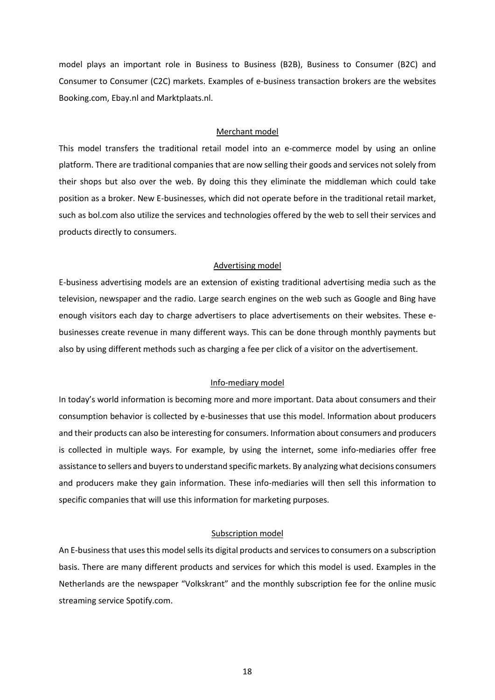model plays an important role in Business to Business (B2B), Business to Consumer (B2C) and Consumer to Consumer (C2C) markets. Examples of e-business transaction brokers are the websites Booking.com, Ebay.nl and Marktplaats.nl.

#### Merchant model

This model transfers the traditional retail model into an e-commerce model by using an online platform. There are traditional companies that are now selling their goods and services not solely from their shops but also over the web. By doing this they eliminate the middleman which could take position as a broker. New E-businesses, which did not operate before in the traditional retail market, such as bol.com also utilize the services and technologies offered by the web to sell their services and products directly to consumers.

#### Advertising model

E-business advertising models are an extension of existing traditional advertising media such as the television, newspaper and the radio. Large search engines on the web such as Google and Bing have enough visitors each day to charge advertisers to place advertisements on their websites. These ebusinesses create revenue in many different ways. This can be done through monthly payments but also by using different methods such as charging a fee per click of a visitor on the advertisement.

#### Info-mediary model

In today's world information is becoming more and more important. Data about consumers and their consumption behavior is collected by e-businesses that use this model. Information about producers and their products can also be interesting for consumers. Information about consumers and producers is collected in multiple ways. For example, by using the internet, some info-mediaries offer free assistance to sellers and buyers to understand specific markets. By analyzing what decisions consumers and producers make they gain information. These info-mediaries will then sell this information to specific companies that will use this information for marketing purposes.

#### Subscription model

An E-business that uses this model sells its digital products and services to consumers on a subscription basis. There are many different products and services for which this model is used. Examples in the Netherlands are the newspaper "Volkskrant" and the monthly subscription fee for the online music streaming service Spotify.com.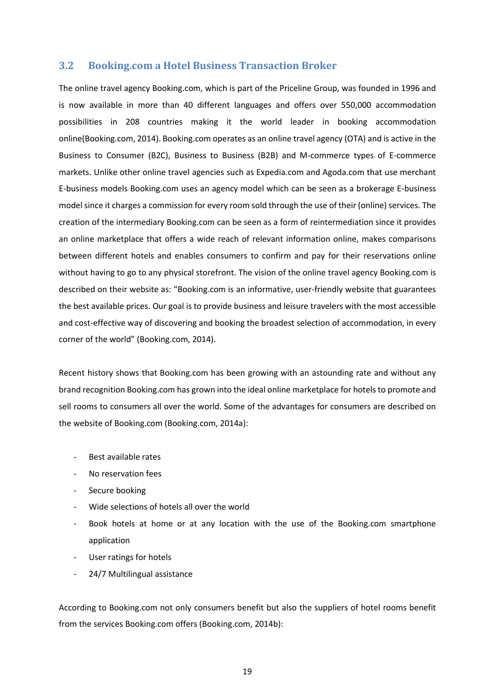## <span id="page-18-0"></span>3.2 Booking.com a Hotel Business Transaction Broker

The online travel agency Booking.com, which is part of the Priceline Group, was founded in 1996 and is now available in more than 40 different languages and offers over 550,000 accommodation possibilities in 208 countries making it the world leader in booking accommodation online(Booking.com, 2014). Booking.com operates as an online travel agency (OTA) and is active in the Business to Consumer (B2C), Business to Business (B2B) and M-commerce types of E-commerce markets. Unlike other online travel agencies such as Expedia.com and Agoda.com that use merchant E-business models Booking.com uses an agency model which can be seen as a brokerage E-business model since it charges a commission for every room sold through the use of their (online) services. The creation of the intermediary Booking.com can be seen as a form of reintermediation since it provides an online marketplace that offers a wide reach of relevant information online, makes comparisons between different hotels and enables consumers to confirm and pay for their reservations online without having to go to any physical storefront. The vision of the online travel agency Booking.com is described on their website as: "Booking.com is an informative, user-friendly website that guarantees the best available prices. Our goal is to provide business and leisure travelers with the most accessible and cost-effective way of discovering and booking the broadest selection of accommodation, in every corner of the world" (Booking.com, 2014).

Recent history shows that Booking.com has been growing with an astounding rate and without any brand recognition Booking.com has grown into the ideal online marketplace for hotels to promote and sell rooms to consumers all over the world. Some of the advantages for consumers are described on the website of Booking.com (Booking.com, 2014a):

- Best available rates
- No reservation fees
- Secure booking
- Wide selections of hotels all over the world
- Book hotels at home or at any location with the use of the Booking.com smartphone application
- User ratings for hotels
- 24/7 Multilingual assistance

According to Booking.com not only consumers benefit but also the suppliers of hotel rooms benefit from the services Booking.com offers (Booking.com, 2014b):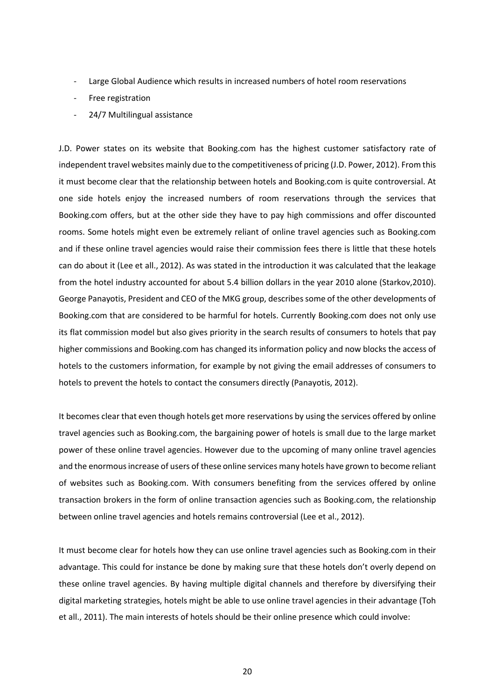- Large Global Audience which results in increased numbers of hotel room reservations
- Free registration
- 24/7 Multilingual assistance

J.D. Power states on its website that Booking.com has the highest customer satisfactory rate of independent travel websites mainly due to the competitiveness of pricing (J.D. Power, 2012). From this it must become clear that the relationship between hotels and Booking.com is quite controversial. At one side hotels enjoy the increased numbers of room reservations through the services that Booking.com offers, but at the other side they have to pay high commissions and offer discounted rooms. Some hotels might even be extremely reliant of online travel agencies such as Booking.com and if these online travel agencies would raise their commission fees there is little that these hotels can do about it (Lee et all., 2012). As was stated in the introduction it was calculated that the leakage from the hotel industry accounted for about 5.4 billion dollars in the year 2010 alone (Starkov,2010). George Panayotis, President and CEO of the MKG group, describes some of the other developments of Booking.com that are considered to be harmful for hotels. Currently Booking.com does not only use its flat commission model but also gives priority in the search results of consumers to hotels that pay higher commissions and Booking.com has changed its information policy and now blocks the access of hotels to the customers information, for example by not giving the email addresses of consumers to hotels to prevent the hotels to contact the consumers directly (Panayotis, 2012).

It becomes clear that even though hotels get more reservations by using the services offered by online travel agencies such as Booking.com, the bargaining power of hotels is small due to the large market power of these online travel agencies. However due to the upcoming of many online travel agencies and the enormous increase of users of these online services many hotels have grown to become reliant of websites such as Booking.com. With consumers benefiting from the services offered by online transaction brokers in the form of online transaction agencies such as Booking.com, the relationship between online travel agencies and hotels remains controversial (Lee et al., 2012).

It must become clear for hotels how they can use online travel agencies such as Booking.com in their advantage. This could for instance be done by making sure that these hotels don't overly depend on these online travel agencies. By having multiple digital channels and therefore by diversifying their digital marketing strategies, hotels might be able to use online travel agencies in their advantage (Toh et all., 2011). The main interests of hotels should be their online presence which could involve: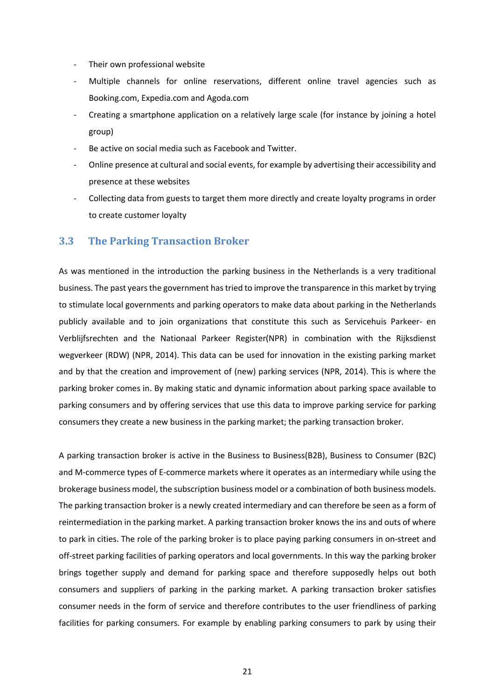- Their own professional website
- Multiple channels for online reservations, different online travel agencies such as Booking.com, Expedia.com and Agoda.com
- Creating a smartphone application on a relatively large scale (for instance by joining a hotel group)
- Be active on social media such as Facebook and Twitter.
- Online presence at cultural and social events, for example by advertising their accessibility and presence at these websites
- Collecting data from guests to target them more directly and create loyalty programs in order to create customer loyalty

## <span id="page-20-0"></span>3.3 The Parking Transaction Broker

As was mentioned in the introduction the parking business in the Netherlands is a very traditional business. The past years the government hastried to improve the transparence in this market by trying to stimulate local governments and parking operators to make data about parking in the Netherlands publicly available and to join organizations that constitute this such as Servicehuis Parkeer- en Verblijfsrechten and the Nationaal Parkeer Register(NPR) in combination with the Rijksdienst wegverkeer (RDW) (NPR, 2014). This data can be used for innovation in the existing parking market and by that the creation and improvement of (new) parking services (NPR, 2014). This is where the parking broker comes in. By making static and dynamic information about parking space available to parking consumers and by offering services that use this data to improve parking service for parking consumers they create a new business in the parking market; the parking transaction broker.

A parking transaction broker is active in the Business to Business(B2B), Business to Consumer (B2C) and M-commerce types of E-commerce markets where it operates as an intermediary while using the brokerage business model, the subscription business model or a combination of both business models. The parking transaction broker is a newly created intermediary and can therefore be seen as a form of reintermediation in the parking market. A parking transaction broker knows the ins and outs of where to park in cities. The role of the parking broker is to place paying parking consumers in on-street and off-street parking facilities of parking operators and local governments. In this way the parking broker brings together supply and demand for parking space and therefore supposedly helps out both consumers and suppliers of parking in the parking market. A parking transaction broker satisfies consumer needs in the form of service and therefore contributes to the user friendliness of parking facilities for parking consumers. For example by enabling parking consumers to park by using their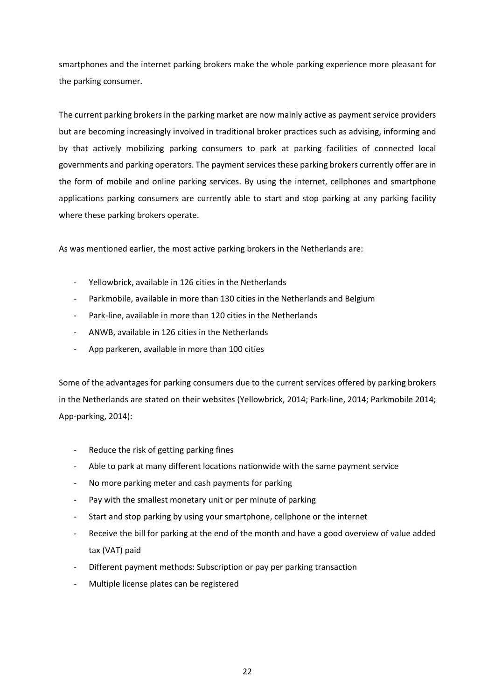smartphones and the internet parking brokers make the whole parking experience more pleasant for the parking consumer.

The current parking brokers in the parking market are now mainly active as payment service providers but are becoming increasingly involved in traditional broker practices such as advising, informing and by that actively mobilizing parking consumers to park at parking facilities of connected local governments and parking operators. The payment services these parking brokers currently offer are in the form of mobile and online parking services. By using the internet, cellphones and smartphone applications parking consumers are currently able to start and stop parking at any parking facility where these parking brokers operate.

As was mentioned earlier, the most active parking brokers in the Netherlands are:

- Yellowbrick, available in 126 cities in the Netherlands
- Parkmobile, available in more than 130 cities in the Netherlands and Belgium
- Park-line, available in more than 120 cities in the Netherlands
- ANWB, available in 126 cities in the Netherlands
- App parkeren, available in more than 100 cities

Some of the advantages for parking consumers due to the current services offered by parking brokers in the Netherlands are stated on their websites (Yellowbrick, 2014; Park-line, 2014; Parkmobile 2014; App-parking, 2014):

- Reduce the risk of getting parking fines
- Able to park at many different locations nationwide with the same payment service
- No more parking meter and cash payments for parking
- Pay with the smallest monetary unit or per minute of parking
- Start and stop parking by using your smartphone, cellphone or the internet
- Receive the bill for parking at the end of the month and have a good overview of value added tax (VAT) paid
- Different payment methods: Subscription or pay per parking transaction
- Multiple license plates can be registered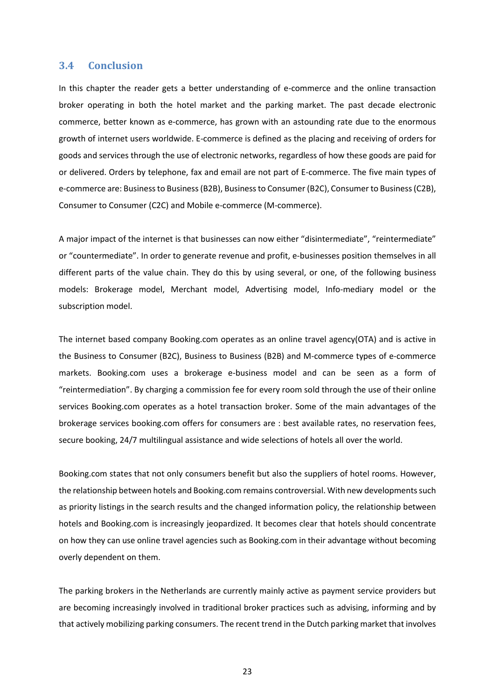#### <span id="page-22-0"></span>3.4 Conclusion

In this chapter the reader gets a better understanding of e-commerce and the online transaction broker operating in both the hotel market and the parking market. The past decade electronic commerce, better known as e-commerce, has grown with an astounding rate due to the enormous growth of internet users worldwide. E-commerce is defined as the placing and receiving of orders for goods and services through the use of electronic networks, regardless of how these goods are paid for or delivered. Orders by telephone, fax and email are not part of E-commerce. The five main types of e-commerce are: Business to Business (B2B), Business to Consumer (B2C), Consumer to Business (C2B), Consumer to Consumer (C2C) and Mobile e-commerce (M-commerce).

A major impact of the internet is that businesses can now either "disintermediate", "reintermediate" or "countermediate". In order to generate revenue and profit, e-businesses position themselves in all different parts of the value chain. They do this by using several, or one, of the following business models: Brokerage model, Merchant model, Advertising model, Info-mediary model or the subscription model.

The internet based company Booking.com operates as an online travel agency(OTA) and is active in the Business to Consumer (B2C), Business to Business (B2B) and M-commerce types of e-commerce markets. Booking.com uses a brokerage e-business model and can be seen as a form of "reintermediation". By charging a commission fee for every room sold through the use of their online services Booking.com operates as a hotel transaction broker. Some of the main advantages of the brokerage services booking.com offers for consumers are : best available rates, no reservation fees, secure booking, 24/7 multilingual assistance and wide selections of hotels all over the world.

Booking.com states that not only consumers benefit but also the suppliers of hotel rooms. However, the relationship between hotels and Booking.com remains controversial. With new developments such as priority listings in the search results and the changed information policy, the relationship between hotels and Booking.com is increasingly jeopardized. It becomes clear that hotels should concentrate on how they can use online travel agencies such as Booking.com in their advantage without becoming overly dependent on them.

The parking brokers in the Netherlands are currently mainly active as payment service providers but are becoming increasingly involved in traditional broker practices such as advising, informing and by that actively mobilizing parking consumers. The recent trend in the Dutch parking market that involves

23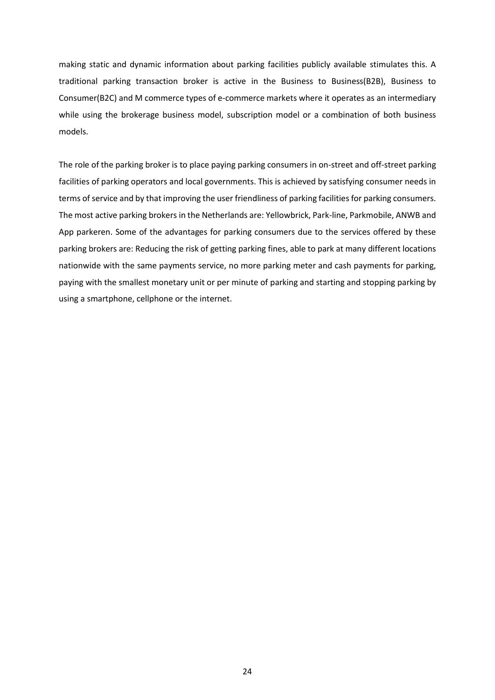making static and dynamic information about parking facilities publicly available stimulates this. A traditional parking transaction broker is active in the Business to Business(B2B), Business to Consumer(B2C) and M commerce types of e-commerce markets where it operates as an intermediary while using the brokerage business model, subscription model or a combination of both business models.

The role of the parking broker is to place paying parking consumers in on-street and off-street parking facilities of parking operators and local governments. This is achieved by satisfying consumer needs in terms of service and by that improving the user friendliness of parking facilities for parking consumers. The most active parking brokers in the Netherlands are: Yellowbrick, Park-line, Parkmobile, ANWB and App parkeren. Some of the advantages for parking consumers due to the services offered by these parking brokers are: Reducing the risk of getting parking fines, able to park at many different locations nationwide with the same payments service, no more parking meter and cash payments for parking, paying with the smallest monetary unit or per minute of parking and starting and stopping parking by using a smartphone, cellphone or the internet.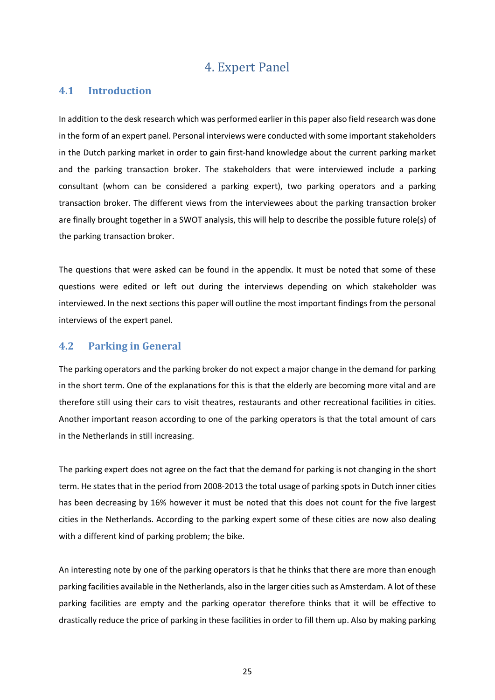# 4. Expert Panel

## <span id="page-24-1"></span><span id="page-24-0"></span>4.1 Introduction

In addition to the desk research which was performed earlier in this paper also field research was done in the form of an expert panel. Personal interviews were conducted with some important stakeholders in the Dutch parking market in order to gain first-hand knowledge about the current parking market and the parking transaction broker. The stakeholders that were interviewed include a parking consultant (whom can be considered a parking expert), two parking operators and a parking transaction broker. The different views from the interviewees about the parking transaction broker are finally brought together in a SWOT analysis, this will help to describe the possible future role(s) of the parking transaction broker.

The questions that were asked can be found in the appendix. It must be noted that some of these questions were edited or left out during the interviews depending on which stakeholder was interviewed. In the next sections this paper will outline the most important findings from the personal interviews of the expert panel.

## <span id="page-24-2"></span>4.2 Parking in General

The parking operators and the parking broker do not expect a major change in the demand for parking in the short term. One of the explanations for this is that the elderly are becoming more vital and are therefore still using their cars to visit theatres, restaurants and other recreational facilities in cities. Another important reason according to one of the parking operators is that the total amount of cars in the Netherlands in still increasing.

The parking expert does not agree on the fact that the demand for parking is not changing in the short term. He states that in the period from 2008-2013 the total usage of parking spots in Dutch inner cities has been decreasing by 16% however it must be noted that this does not count for the five largest cities in the Netherlands. According to the parking expert some of these cities are now also dealing with a different kind of parking problem; the bike.

An interesting note by one of the parking operators is that he thinks that there are more than enough parking facilities available in the Netherlands, also in the larger cities such as Amsterdam. A lot of these parking facilities are empty and the parking operator therefore thinks that it will be effective to drastically reduce the price of parking in these facilities in order to fill them up. Also by making parking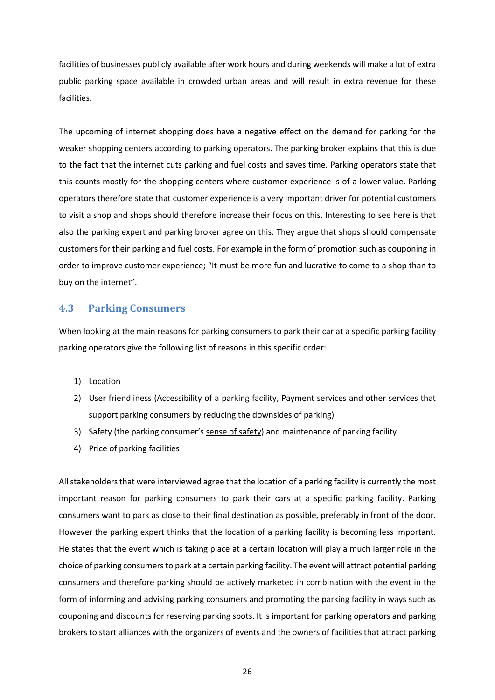facilities of businesses publicly available after work hours and during weekends will make a lot of extra public parking space available in crowded urban areas and will result in extra revenue for these facilities.

The upcoming of internet shopping does have a negative effect on the demand for parking for the weaker shopping centers according to parking operators. The parking broker explains that this is due to the fact that the internet cuts parking and fuel costs and saves time. Parking operators state that this counts mostly for the shopping centers where customer experience is of a lower value. Parking operators therefore state that customer experience is a very important driver for potential customers to visit a shop and shops should therefore increase their focus on this. Interesting to see here is that also the parking expert and parking broker agree on this. They argue that shops should compensate customers for their parking and fuel costs. For example in the form of promotion such as couponing in order to improve customer experience; "It must be more fun and lucrative to come to a shop than to buy on the internet".

## <span id="page-25-0"></span>4.3 Parking Consumers

When looking at the main reasons for parking consumers to park their car at a specific parking facility parking operators give the following list of reasons in this specific order:

- 1) Location
- 2) User friendliness (Accessibility of a parking facility, Payment services and other services that support parking consumers by reducing the downsides of parking)
- 3) Safety (the parking consumer's sense of safety) and maintenance of parking facility
- 4) Price of parking facilities

All stakeholders that were interviewed agree that the location of a parking facility is currently the most important reason for parking consumers to park their cars at a specific parking facility. Parking consumers want to park as close to their final destination as possible, preferably in front of the door. However the parking expert thinks that the location of a parking facility is becoming less important. He states that the event which is taking place at a certain location will play a much larger role in the choice of parking consumersto park at a certain parking facility. The event will attract potential parking consumers and therefore parking should be actively marketed in combination with the event in the form of informing and advising parking consumers and promoting the parking facility in ways such as couponing and discounts for reserving parking spots. It is important for parking operators and parking brokers to start alliances with the organizers of events and the owners of facilities that attract parking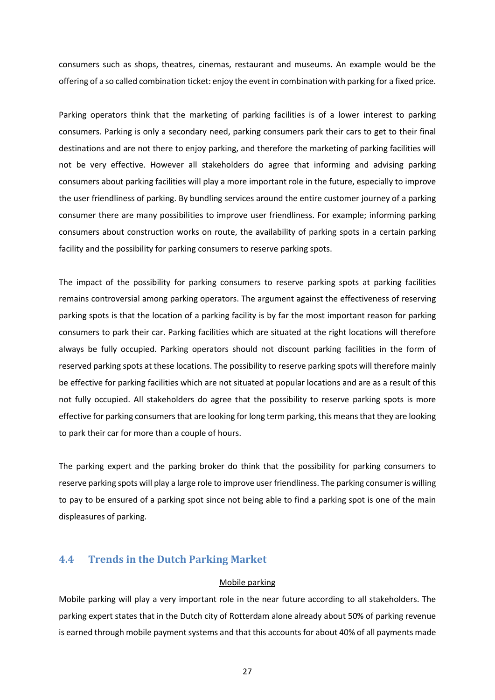consumers such as shops, theatres, cinemas, restaurant and museums. An example would be the offering of a so called combination ticket: enjoy the event in combination with parking for a fixed price.

Parking operators think that the marketing of parking facilities is of a lower interest to parking consumers. Parking is only a secondary need, parking consumers park their cars to get to their final destinations and are not there to enjoy parking, and therefore the marketing of parking facilities will not be very effective. However all stakeholders do agree that informing and advising parking consumers about parking facilities will play a more important role in the future, especially to improve the user friendliness of parking. By bundling services around the entire customer journey of a parking consumer there are many possibilities to improve user friendliness. For example; informing parking consumers about construction works on route, the availability of parking spots in a certain parking facility and the possibility for parking consumers to reserve parking spots.

The impact of the possibility for parking consumers to reserve parking spots at parking facilities remains controversial among parking operators. The argument against the effectiveness of reserving parking spots is that the location of a parking facility is by far the most important reason for parking consumers to park their car. Parking facilities which are situated at the right locations will therefore always be fully occupied. Parking operators should not discount parking facilities in the form of reserved parking spots at these locations. The possibility to reserve parking spots will therefore mainly be effective for parking facilities which are not situated at popular locations and are as a result of this not fully occupied. All stakeholders do agree that the possibility to reserve parking spots is more effective for parking consumers that are looking for long term parking, this means that they are looking to park their car for more than a couple of hours.

The parking expert and the parking broker do think that the possibility for parking consumers to reserve parking spots will play a large role to improve user friendliness. The parking consumer is willing to pay to be ensured of a parking spot since not being able to find a parking spot is one of the main displeasures of parking.

## <span id="page-26-0"></span>4.4 Trends in the Dutch Parking Market

#### Mobile parking

Mobile parking will play a very important role in the near future according to all stakeholders. The parking expert states that in the Dutch city of Rotterdam alone already about 50% of parking revenue is earned through mobile payment systems and that this accounts for about 40% of all payments made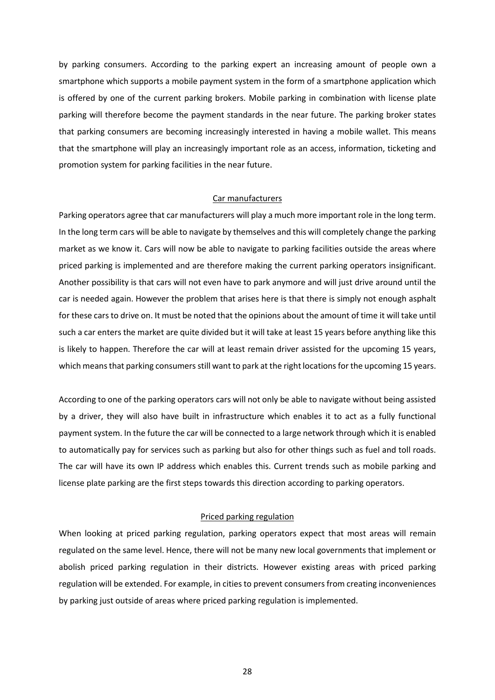by parking consumers. According to the parking expert an increasing amount of people own a smartphone which supports a mobile payment system in the form of a smartphone application which is offered by one of the current parking brokers. Mobile parking in combination with license plate parking will therefore become the payment standards in the near future. The parking broker states that parking consumers are becoming increasingly interested in having a mobile wallet. This means that the smartphone will play an increasingly important role as an access, information, ticketing and promotion system for parking facilities in the near future.

#### Car manufacturers

Parking operators agree that car manufacturers will play a much more important role in the long term. In the long term cars will be able to navigate by themselves and this will completely change the parking market as we know it. Cars will now be able to navigate to parking facilities outside the areas where priced parking is implemented and are therefore making the current parking operators insignificant. Another possibility is that cars will not even have to park anymore and will just drive around until the car is needed again. However the problem that arises here is that there is simply not enough asphalt for these cars to drive on. It must be noted that the opinions about the amount of time it will take until such a car enters the market are quite divided but it will take at least 15 years before anything like this is likely to happen. Therefore the car will at least remain driver assisted for the upcoming 15 years, which means that parking consumers still want to park at the right locations for the upcoming 15 years.

According to one of the parking operators cars will not only be able to navigate without being assisted by a driver, they will also have built in infrastructure which enables it to act as a fully functional payment system. In the future the car will be connected to a large network through which it is enabled to automatically pay for services such as parking but also for other things such as fuel and toll roads. The car will have its own IP address which enables this. Current trends such as mobile parking and license plate parking are the first steps towards this direction according to parking operators.

#### Priced parking regulation

When looking at priced parking regulation, parking operators expect that most areas will remain regulated on the same level. Hence, there will not be many new local governments that implement or abolish priced parking regulation in their districts. However existing areas with priced parking regulation will be extended. For example, in cities to prevent consumers from creating inconveniences by parking just outside of areas where priced parking regulation is implemented.

28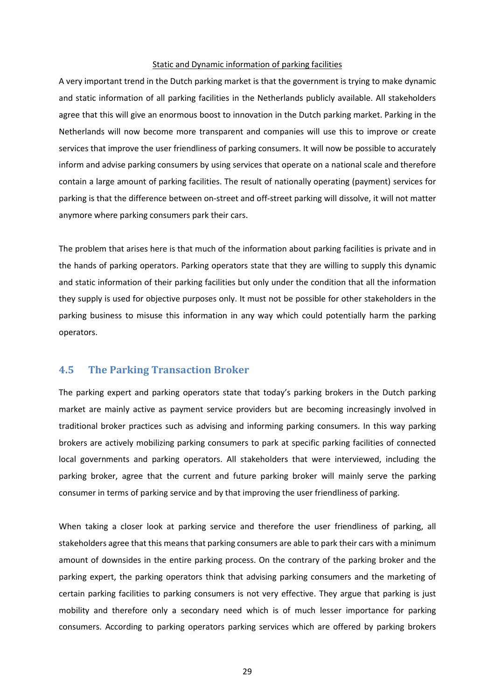#### Static and Dynamic information of parking facilities

A very important trend in the Dutch parking market is that the government is trying to make dynamic and static information of all parking facilities in the Netherlands publicly available. All stakeholders agree that this will give an enormous boost to innovation in the Dutch parking market. Parking in the Netherlands will now become more transparent and companies will use this to improve or create services that improve the user friendliness of parking consumers. It will now be possible to accurately inform and advise parking consumers by using services that operate on a national scale and therefore contain a large amount of parking facilities. The result of nationally operating (payment) services for parking is that the difference between on-street and off-street parking will dissolve, it will not matter anymore where parking consumers park their cars.

The problem that arises here is that much of the information about parking facilities is private and in the hands of parking operators. Parking operators state that they are willing to supply this dynamic and static information of their parking facilities but only under the condition that all the information they supply is used for objective purposes only. It must not be possible for other stakeholders in the parking business to misuse this information in any way which could potentially harm the parking operators.

## <span id="page-28-0"></span>4.5 The Parking Transaction Broker

The parking expert and parking operators state that today's parking brokers in the Dutch parking market are mainly active as payment service providers but are becoming increasingly involved in traditional broker practices such as advising and informing parking consumers. In this way parking brokers are actively mobilizing parking consumers to park at specific parking facilities of connected local governments and parking operators. All stakeholders that were interviewed, including the parking broker, agree that the current and future parking broker will mainly serve the parking consumer in terms of parking service and by that improving the user friendliness of parking.

When taking a closer look at parking service and therefore the user friendliness of parking, all stakeholders agree that this means that parking consumers are able to park their cars with a minimum amount of downsides in the entire parking process. On the contrary of the parking broker and the parking expert, the parking operators think that advising parking consumers and the marketing of certain parking facilities to parking consumers is not very effective. They argue that parking is just mobility and therefore only a secondary need which is of much lesser importance for parking consumers. According to parking operators parking services which are offered by parking brokers

29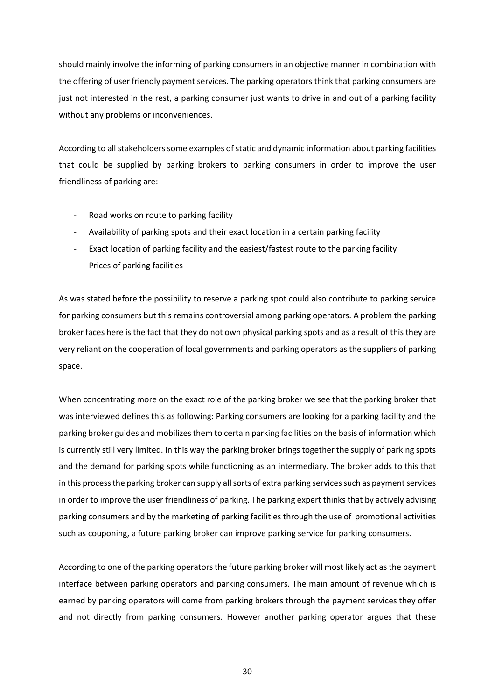should mainly involve the informing of parking consumers in an objective manner in combination with the offering of user friendly payment services. The parking operators think that parking consumers are just not interested in the rest, a parking consumer just wants to drive in and out of a parking facility without any problems or inconveniences.

According to all stakeholders some examples of static and dynamic information about parking facilities that could be supplied by parking brokers to parking consumers in order to improve the user friendliness of parking are:

- Road works on route to parking facility
- Availability of parking spots and their exact location in a certain parking facility
- Exact location of parking facility and the easiest/fastest route to the parking facility
- Prices of parking facilities

As was stated before the possibility to reserve a parking spot could also contribute to parking service for parking consumers but this remains controversial among parking operators. A problem the parking broker faces here is the fact that they do not own physical parking spots and as a result of this they are very reliant on the cooperation of local governments and parking operators as the suppliers of parking space.

When concentrating more on the exact role of the parking broker we see that the parking broker that was interviewed defines this as following: Parking consumers are looking for a parking facility and the parking broker guides and mobilizes them to certain parking facilities on the basis of information which is currently still very limited. In this way the parking broker brings together the supply of parking spots and the demand for parking spots while functioning as an intermediary. The broker adds to this that in this process the parking broker can supply all sorts of extra parking services such as payment services in order to improve the user friendliness of parking. The parking expert thinks that by actively advising parking consumers and by the marketing of parking facilities through the use of promotional activities such as couponing, a future parking broker can improve parking service for parking consumers.

According to one of the parking operators the future parking broker will most likely act as the payment interface between parking operators and parking consumers. The main amount of revenue which is earned by parking operators will come from parking brokers through the payment services they offer and not directly from parking consumers. However another parking operator argues that these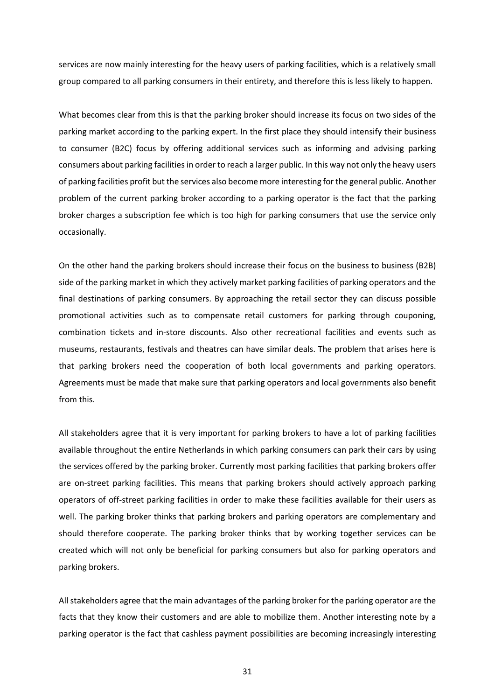services are now mainly interesting for the heavy users of parking facilities, which is a relatively small group compared to all parking consumers in their entirety, and therefore this is less likely to happen.

What becomes clear from this is that the parking broker should increase its focus on two sides of the parking market according to the parking expert. In the first place they should intensify their business to consumer (B2C) focus by offering additional services such as informing and advising parking consumers about parking facilities in order to reach a larger public. In this way not only the heavy users of parking facilities profit but the services also become more interesting for the general public. Another problem of the current parking broker according to a parking operator is the fact that the parking broker charges a subscription fee which is too high for parking consumers that use the service only occasionally.

On the other hand the parking brokers should increase their focus on the business to business (B2B) side of the parking market in which they actively market parking facilities of parking operators and the final destinations of parking consumers. By approaching the retail sector they can discuss possible promotional activities such as to compensate retail customers for parking through couponing, combination tickets and in-store discounts. Also other recreational facilities and events such as museums, restaurants, festivals and theatres can have similar deals. The problem that arises here is that parking brokers need the cooperation of both local governments and parking operators. Agreements must be made that make sure that parking operators and local governments also benefit from this.

All stakeholders agree that it is very important for parking brokers to have a lot of parking facilities available throughout the entire Netherlands in which parking consumers can park their cars by using the services offered by the parking broker. Currently most parking facilities that parking brokers offer are on-street parking facilities. This means that parking brokers should actively approach parking operators of off-street parking facilities in order to make these facilities available for their users as well. The parking broker thinks that parking brokers and parking operators are complementary and should therefore cooperate. The parking broker thinks that by working together services can be created which will not only be beneficial for parking consumers but also for parking operators and parking brokers.

All stakeholders agree that the main advantages of the parking broker for the parking operator are the facts that they know their customers and are able to mobilize them. Another interesting note by a parking operator is the fact that cashless payment possibilities are becoming increasingly interesting

31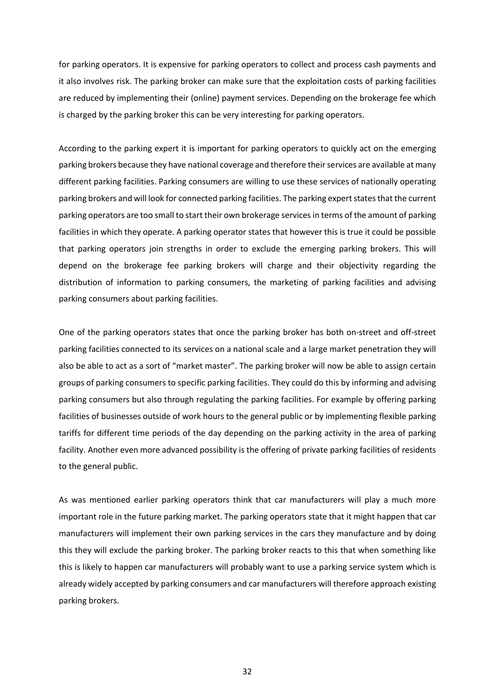for parking operators. It is expensive for parking operators to collect and process cash payments and it also involves risk. The parking broker can make sure that the exploitation costs of parking facilities are reduced by implementing their (online) payment services. Depending on the brokerage fee which is charged by the parking broker this can be very interesting for parking operators.

According to the parking expert it is important for parking operators to quickly act on the emerging parking brokers because they have national coverage and therefore their services are available at many different parking facilities. Parking consumers are willing to use these services of nationally operating parking brokers and will look for connected parking facilities. The parking expert states that the current parking operators are too small to start their own brokerage services in terms of the amount of parking facilities in which they operate. A parking operator states that however this is true it could be possible that parking operators join strengths in order to exclude the emerging parking brokers. This will depend on the brokerage fee parking brokers will charge and their objectivity regarding the distribution of information to parking consumers, the marketing of parking facilities and advising parking consumers about parking facilities.

One of the parking operators states that once the parking broker has both on-street and off-street parking facilities connected to its services on a national scale and a large market penetration they will also be able to act as a sort of "market master". The parking broker will now be able to assign certain groups of parking consumers to specific parking facilities. They could do this by informing and advising parking consumers but also through regulating the parking facilities. For example by offering parking facilities of businesses outside of work hours to the general public or by implementing flexible parking tariffs for different time periods of the day depending on the parking activity in the area of parking facility. Another even more advanced possibility is the offering of private parking facilities of residents to the general public.

As was mentioned earlier parking operators think that car manufacturers will play a much more important role in the future parking market. The parking operators state that it might happen that car manufacturers will implement their own parking services in the cars they manufacture and by doing this they will exclude the parking broker. The parking broker reacts to this that when something like this is likely to happen car manufacturers will probably want to use a parking service system which is already widely accepted by parking consumers and car manufacturers will therefore approach existing parking brokers.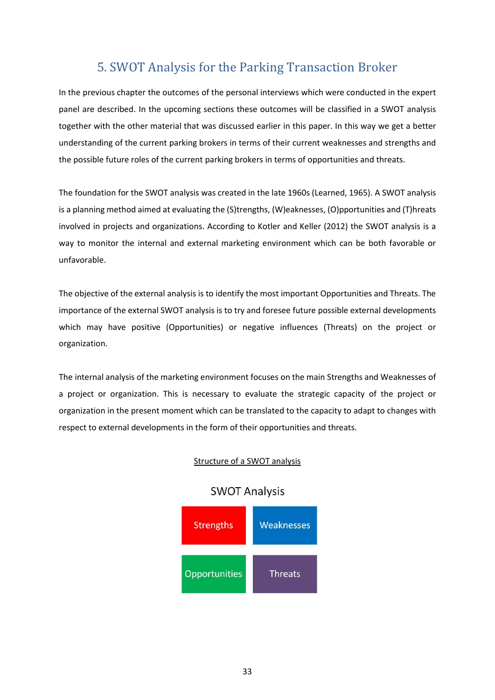# 5. SWOT Analysis for the Parking Transaction Broker

<span id="page-32-0"></span>In the previous chapter the outcomes of the personal interviews which were conducted in the expert panel are described. In the upcoming sections these outcomes will be classified in a SWOT analysis together with the other material that was discussed earlier in this paper. In this way we get a better understanding of the current parking brokers in terms of their current weaknesses and strengths and the possible future roles of the current parking brokers in terms of opportunities and threats.

The foundation for the SWOT analysis was created in the late 1960s (Learned, 1965). A SWOT analysis is a planning method aimed at evaluating the (S)trengths, (W)eaknesses, (O)pportunities and (T)hreats involved in projects and organizations. According to Kotler and Keller (2012) the SWOT analysis is a way to monitor the internal and external marketing environment which can be both favorable or unfavorable.

The objective of the external analysis is to identify the most important Opportunities and Threats. The importance of the external SWOT analysis is to try and foresee future possible external developments which may have positive (Opportunities) or negative influences (Threats) on the project or organization.

The internal analysis of the marketing environment focuses on the main Strengths and Weaknesses of a project or organization. This is necessary to evaluate the strategic capacity of the project or organization in the present moment which can be translated to the capacity to adapt to changes with respect to external developments in the form of their opportunities and threats.

#### Structure of a SWOT analysis



## **SWOT Analysis**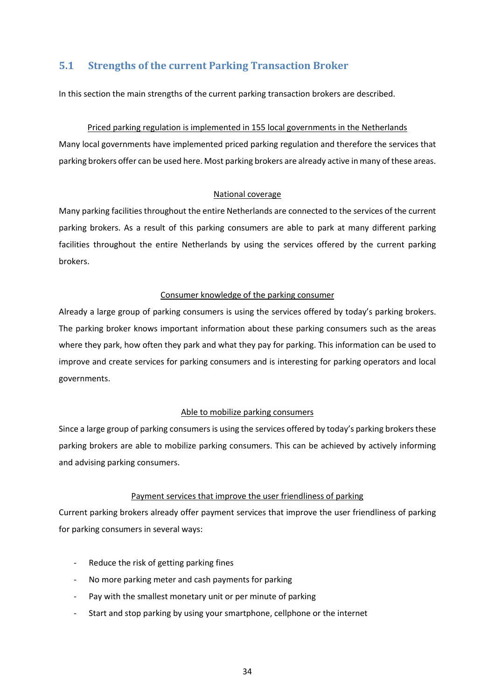## <span id="page-33-0"></span>5.1 Strengths of the current Parking Transaction Broker

In this section the main strengths of the current parking transaction brokers are described.

#### Priced parking regulation is implemented in 155 local governments in the Netherlands

Many local governments have implemented priced parking regulation and therefore the services that parking brokers offer can be used here. Most parking brokers are already active in many of these areas.

#### National coverage

Many parking facilities throughout the entire Netherlands are connected to the services of the current parking brokers. As a result of this parking consumers are able to park at many different parking facilities throughout the entire Netherlands by using the services offered by the current parking brokers.

#### Consumer knowledge of the parking consumer

Already a large group of parking consumers is using the services offered by today's parking brokers. The parking broker knows important information about these parking consumers such as the areas where they park, how often they park and what they pay for parking. This information can be used to improve and create services for parking consumers and is interesting for parking operators and local governments.

#### Able to mobilize parking consumers

Since a large group of parking consumers is using the services offered by today's parking brokers these parking brokers are able to mobilize parking consumers. This can be achieved by actively informing and advising parking consumers.

#### Payment services that improve the user friendliness of parking

Current parking brokers already offer payment services that improve the user friendliness of parking for parking consumers in several ways:

- Reduce the risk of getting parking fines
- No more parking meter and cash payments for parking
- Pay with the smallest monetary unit or per minute of parking
- Start and stop parking by using your smartphone, cellphone or the internet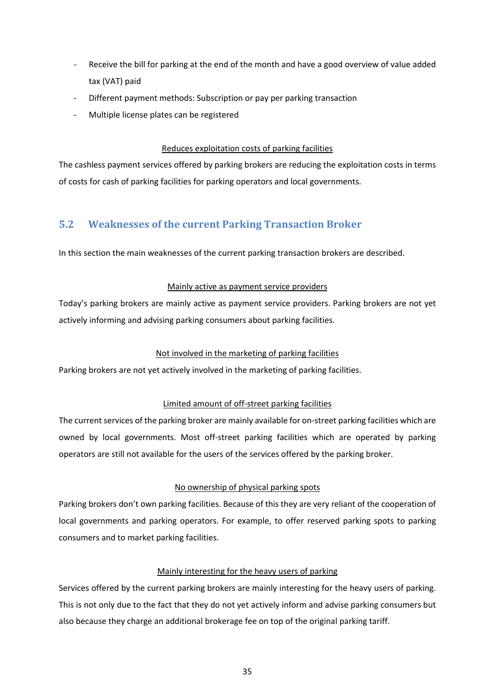- Receive the bill for parking at the end of the month and have a good overview of value added tax (VAT) paid
- Different payment methods: Subscription or pay per parking transaction
- Multiple license plates can be registered

## Reduces exploitation costs of parking facilities

The cashless payment services offered by parking brokers are reducing the exploitation costs in terms of costs for cash of parking facilities for parking operators and local governments.

## <span id="page-34-0"></span>5.2 Weaknesses of the current Parking Transaction Broker

In this section the main weaknesses of the current parking transaction brokers are described.

## Mainly active as payment service providers

Today's parking brokers are mainly active as payment service providers. Parking brokers are not yet actively informing and advising parking consumers about parking facilities.

## Not involved in the marketing of parking facilities

Parking brokers are not yet actively involved in the marketing of parking facilities.

## Limited amount of off-street parking facilities

The current services of the parking broker are mainly available for on-street parking facilities which are owned by local governments. Most off-street parking facilities which are operated by parking operators are still not available for the users of the services offered by the parking broker.

## No ownership of physical parking spots

Parking brokers don't own parking facilities. Because of this they are very reliant of the cooperation of local governments and parking operators. For example, to offer reserved parking spots to parking consumers and to market parking facilities.

## Mainly interesting for the heavy users of parking

Services offered by the current parking brokers are mainly interesting for the heavy users of parking. This is not only due to the fact that they do not yet actively inform and advise parking consumers but also because they charge an additional brokerage fee on top of the original parking tariff.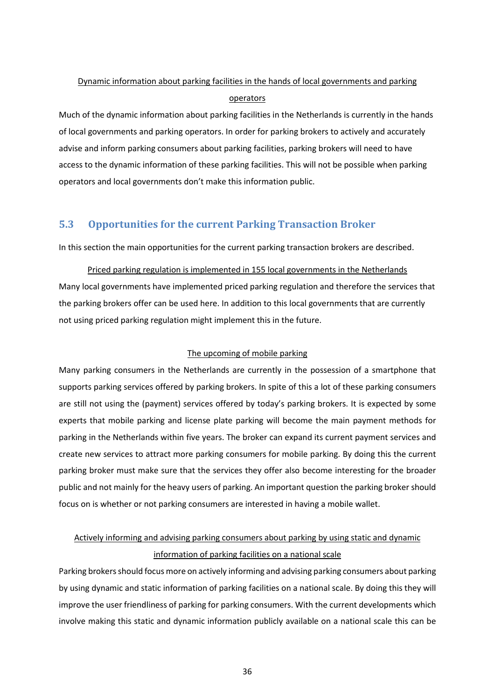# Dynamic information about parking facilities in the hands of local governments and parking operators

Much of the dynamic information about parking facilities in the Netherlands is currently in the hands of local governments and parking operators. In order for parking brokers to actively and accurately advise and inform parking consumers about parking facilities, parking brokers will need to have access to the dynamic information of these parking facilities. This will not be possible when parking operators and local governments don't make this information public.

## <span id="page-35-0"></span>5.3 Opportunities for the current Parking Transaction Broker

In this section the main opportunities for the current parking transaction brokers are described.

Priced parking regulation is implemented in 155 local governments in the Netherlands Many local governments have implemented priced parking regulation and therefore the services that the parking brokers offer can be used here. In addition to this local governments that are currently not using priced parking regulation might implement this in the future.

## The upcoming of mobile parking

Many parking consumers in the Netherlands are currently in the possession of a smartphone that supports parking services offered by parking brokers. In spite of this a lot of these parking consumers are still not using the (payment) services offered by today's parking brokers. It is expected by some experts that mobile parking and license plate parking will become the main payment methods for parking in the Netherlands within five years. The broker can expand its current payment services and create new services to attract more parking consumers for mobile parking. By doing this the current parking broker must make sure that the services they offer also become interesting for the broader public and not mainly for the heavy users of parking. An important question the parking broker should focus on is whether or not parking consumers are interested in having a mobile wallet.

# Actively informing and advising parking consumers about parking by using static and dynamic information of parking facilities on a national scale

Parking brokers should focus more on actively informing and advising parking consumers about parking by using dynamic and static information of parking facilities on a national scale. By doing this they will improve the user friendliness of parking for parking consumers. With the current developments which involve making this static and dynamic information publicly available on a national scale this can be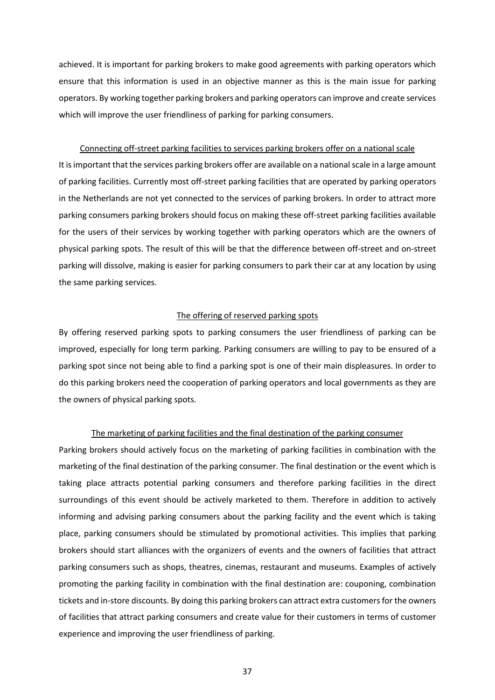achieved. It is important for parking brokers to make good agreements with parking operators which ensure that this information is used in an objective manner as this is the main issue for parking operators. By working together parking brokers and parking operators can improve and create services which will improve the user friendliness of parking for parking consumers.

#### Connecting off-street parking facilities to services parking brokers offer on a national scale

It is important that the services parking brokers offer are available on a national scale in a large amount of parking facilities. Currently most off-street parking facilities that are operated by parking operators in the Netherlands are not yet connected to the services of parking brokers. In order to attract more parking consumers parking brokers should focus on making these off-street parking facilities available for the users of their services by working together with parking operators which are the owners of physical parking spots. The result of this will be that the difference between off-street and on-street parking will dissolve, making is easier for parking consumers to park their car at any location by using the same parking services.

#### The offering of reserved parking spots

By offering reserved parking spots to parking consumers the user friendliness of parking can be improved, especially for long term parking. Parking consumers are willing to pay to be ensured of a parking spot since not being able to find a parking spot is one of their main displeasures. In order to do this parking brokers need the cooperation of parking operators and local governments as they are the owners of physical parking spots.

#### The marketing of parking facilities and the final destination of the parking consumer

Parking brokers should actively focus on the marketing of parking facilities in combination with the marketing of the final destination of the parking consumer. The final destination or the event which is taking place attracts potential parking consumers and therefore parking facilities in the direct surroundings of this event should be actively marketed to them. Therefore in addition to actively informing and advising parking consumers about the parking facility and the event which is taking place, parking consumers should be stimulated by promotional activities. This implies that parking brokers should start alliances with the organizers of events and the owners of facilities that attract parking consumers such as shops, theatres, cinemas, restaurant and museums. Examples of actively promoting the parking facility in combination with the final destination are: couponing, combination tickets and in-store discounts. By doing this parking brokers can attract extra customers for the owners of facilities that attract parking consumers and create value for their customers in terms of customer experience and improving the user friendliness of parking.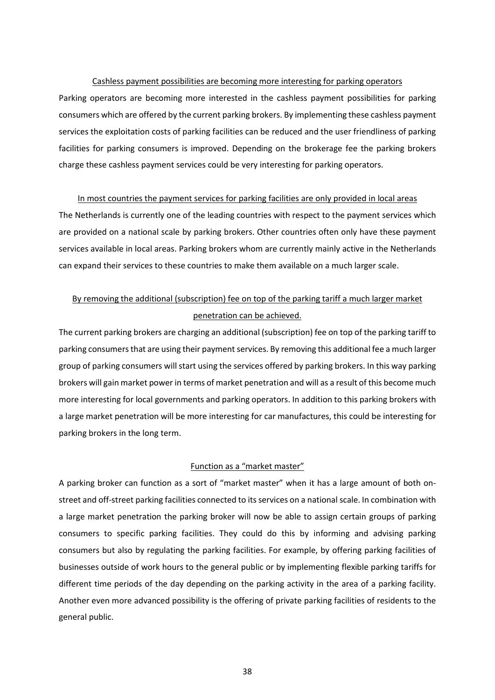#### Cashless payment possibilities are becoming more interesting for parking operators

Parking operators are becoming more interested in the cashless payment possibilities for parking consumers which are offered by the current parking brokers. By implementing these cashless payment services the exploitation costs of parking facilities can be reduced and the user friendliness of parking facilities for parking consumers is improved. Depending on the brokerage fee the parking brokers charge these cashless payment services could be very interesting for parking operators.

#### In most countries the payment services for parking facilities are only provided in local areas

The Netherlands is currently one of the leading countries with respect to the payment services which are provided on a national scale by parking brokers. Other countries often only have these payment services available in local areas. Parking brokers whom are currently mainly active in the Netherlands can expand their services to these countries to make them available on a much larger scale.

# By removing the additional (subscription) fee on top of the parking tariff a much larger market penetration can be achieved.

The current parking brokers are charging an additional (subscription) fee on top of the parking tariff to parking consumers that are using their payment services. By removing this additional fee a much larger group of parking consumers will start using the services offered by parking brokers. In this way parking brokers will gain market power in terms of market penetration and will as a result of this become much more interesting for local governments and parking operators. In addition to this parking brokers with a large market penetration will be more interesting for car manufactures, this could be interesting for parking brokers in the long term.

#### Function as a "market master"

A parking broker can function as a sort of "market master" when it has a large amount of both onstreet and off-street parking facilities connected to its services on a national scale. In combination with a large market penetration the parking broker will now be able to assign certain groups of parking consumers to specific parking facilities. They could do this by informing and advising parking consumers but also by regulating the parking facilities. For example, by offering parking facilities of businesses outside of work hours to the general public or by implementing flexible parking tariffs for different time periods of the day depending on the parking activity in the area of a parking facility. Another even more advanced possibility is the offering of private parking facilities of residents to the general public.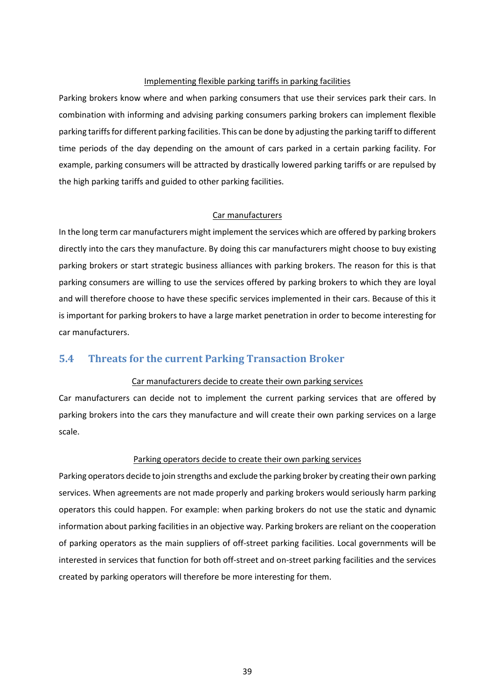#### Implementing flexible parking tariffs in parking facilities

Parking brokers know where and when parking consumers that use their services park their cars. In combination with informing and advising parking consumers parking brokers can implement flexible parking tariffs for different parking facilities. This can be done by adjusting the parking tariff to different time periods of the day depending on the amount of cars parked in a certain parking facility. For example, parking consumers will be attracted by drastically lowered parking tariffs or are repulsed by the high parking tariffs and guided to other parking facilities.

### Car manufacturers

In the long term car manufacturers might implement the services which are offered by parking brokers directly into the cars they manufacture. By doing this car manufacturers might choose to buy existing parking brokers or start strategic business alliances with parking brokers. The reason for this is that parking consumers are willing to use the services offered by parking brokers to which they are loyal and will therefore choose to have these specific services implemented in their cars. Because of this it is important for parking brokers to have a large market penetration in order to become interesting for car manufacturers.

## <span id="page-38-0"></span>5.4 Threats for the current Parking Transaction Broker

## Car manufacturers decide to create their own parking services

Car manufacturers can decide not to implement the current parking services that are offered by parking brokers into the cars they manufacture and will create their own parking services on a large scale.

#### Parking operators decide to create their own parking services

Parking operators decide to join strengths and exclude the parking broker by creating their own parking services. When agreements are not made properly and parking brokers would seriously harm parking operators this could happen. For example: when parking brokers do not use the static and dynamic information about parking facilities in an objective way. Parking brokers are reliant on the cooperation of parking operators as the main suppliers of off-street parking facilities. Local governments will be interested in services that function for both off-street and on-street parking facilities and the services created by parking operators will therefore be more interesting for them.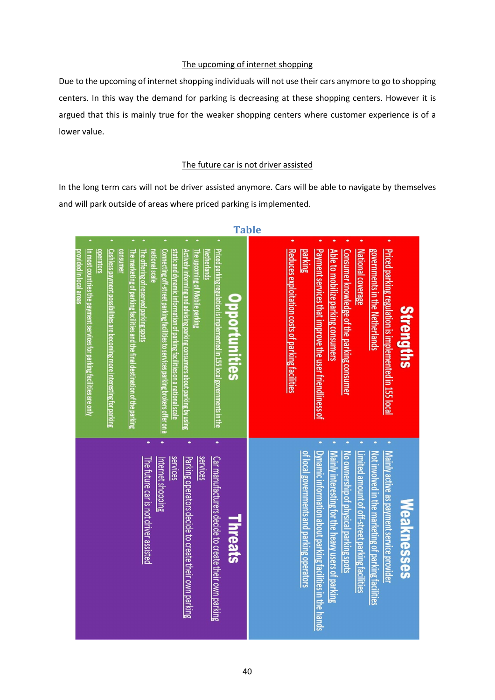## The upcoming of internet shopping

Due to the upcoming of internet shopping individuals will not use their cars anymore to go to shopping centers. In this way the demand for parking is decreasing at these shopping centers. However it is argued that this is mainly true for the weaker shopping centers where customer experience is of a lower value.

## The future car is not driver assisted

<span id="page-39-0"></span>In the long term cars will not be driver assisted anymore. Cars will be able to navigate by themselves and will park outside of areas where priced parking is implemented.



Table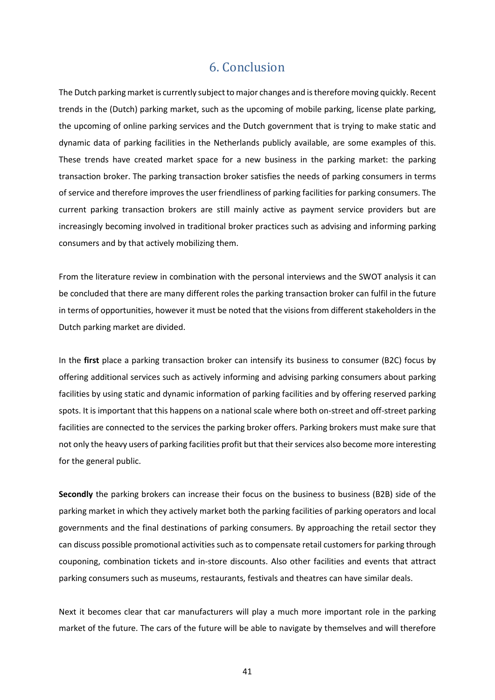# 6. Conclusion

<span id="page-40-0"></span>The Dutch parking market is currently subject to major changes and is therefore moving quickly. Recent trends in the (Dutch) parking market, such as the upcoming of mobile parking, license plate parking, the upcoming of online parking services and the Dutch government that is trying to make static and dynamic data of parking facilities in the Netherlands publicly available, are some examples of this. These trends have created market space for a new business in the parking market: the parking transaction broker. The parking transaction broker satisfies the needs of parking consumers in terms of service and therefore improves the user friendliness of parking facilities for parking consumers. The current parking transaction brokers are still mainly active as payment service providers but are increasingly becoming involved in traditional broker practices such as advising and informing parking consumers and by that actively mobilizing them.

From the literature review in combination with the personal interviews and the SWOT analysis it can be concluded that there are many different roles the parking transaction broker can fulfil in the future in terms of opportunities, however it must be noted that the visions from different stakeholders in the Dutch parking market are divided.

In the first place a parking transaction broker can intensify its business to consumer (B2C) focus by offering additional services such as actively informing and advising parking consumers about parking facilities by using static and dynamic information of parking facilities and by offering reserved parking spots. It is important that this happens on a national scale where both on-street and off-street parking facilities are connected to the services the parking broker offers. Parking brokers must make sure that not only the heavy users of parking facilities profit but that their services also become more interesting for the general public.

Secondly the parking brokers can increase their focus on the business to business (B2B) side of the parking market in which they actively market both the parking facilities of parking operators and local governments and the final destinations of parking consumers. By approaching the retail sector they can discuss possible promotional activities such as to compensate retail customers for parking through couponing, combination tickets and in-store discounts. Also other facilities and events that attract parking consumers such as museums, restaurants, festivals and theatres can have similar deals.

Next it becomes clear that car manufacturers will play a much more important role in the parking market of the future. The cars of the future will be able to navigate by themselves and will therefore

41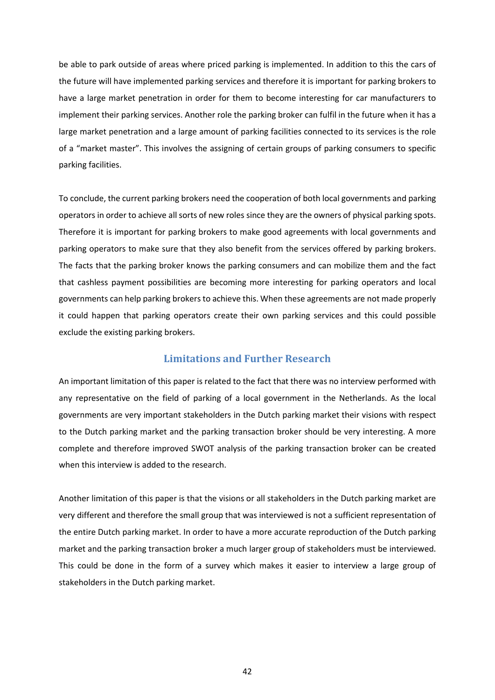be able to park outside of areas where priced parking is implemented. In addition to this the cars of the future will have implemented parking services and therefore it is important for parking brokers to have a large market penetration in order for them to become interesting for car manufacturers to implement their parking services. Another role the parking broker can fulfil in the future when it has a large market penetration and a large amount of parking facilities connected to its services is the role of a "market master". This involves the assigning of certain groups of parking consumers to specific parking facilities.

To conclude, the current parking brokers need the cooperation of both local governments and parking operators in order to achieve all sorts of new roles since they are the owners of physical parking spots. Therefore it is important for parking brokers to make good agreements with local governments and parking operators to make sure that they also benefit from the services offered by parking brokers. The facts that the parking broker knows the parking consumers and can mobilize them and the fact that cashless payment possibilities are becoming more interesting for parking operators and local governments can help parking brokers to achieve this. When these agreements are not made properly it could happen that parking operators create their own parking services and this could possible exclude the existing parking brokers.

## Limitations and Further Research

<span id="page-41-0"></span>An important limitation of this paper is related to the fact that there was no interview performed with any representative on the field of parking of a local government in the Netherlands. As the local governments are very important stakeholders in the Dutch parking market their visions with respect to the Dutch parking market and the parking transaction broker should be very interesting. A more complete and therefore improved SWOT analysis of the parking transaction broker can be created when this interview is added to the research.

Another limitation of this paper is that the visions or all stakeholders in the Dutch parking market are very different and therefore the small group that was interviewed is not a sufficient representation of the entire Dutch parking market. In order to have a more accurate reproduction of the Dutch parking market and the parking transaction broker a much larger group of stakeholders must be interviewed. This could be done in the form of a survey which makes it easier to interview a large group of stakeholders in the Dutch parking market.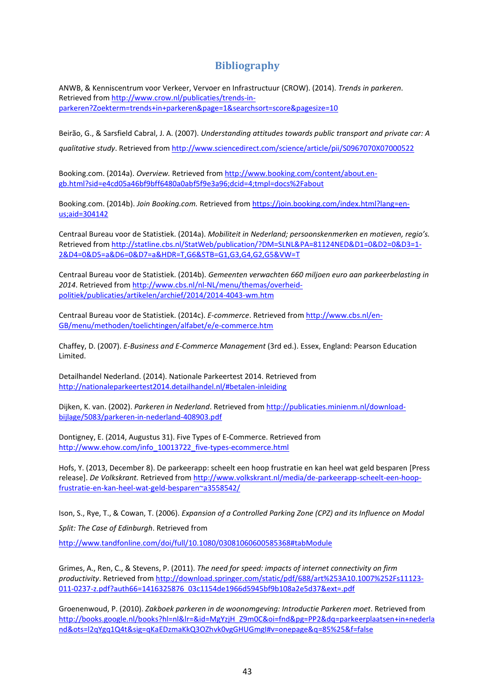## **Bibliography**

<span id="page-42-0"></span>ANWB, & Kenniscentrum voor Verkeer, Vervoer en Infrastructuur (CROW). (2014). *Trends in parkeren*. Retrieved from [http://www.crow.nl/publicaties/trends-in](http://www.crow.nl/publicaties/trends-in-parkeren?Zoekterm=trends+in+parkeren&page=1&searchsort=score&pagesize=10)[parkeren?Zoekterm=trends+in+parkeren&page=1&searchsort=score&pagesize=10](http://www.crow.nl/publicaties/trends-in-parkeren?Zoekterm=trends+in+parkeren&page=1&searchsort=score&pagesize=10)

Beirão, G., & Sarsfield Cabral, J. A. (2007). *Understanding attitudes towards public transport and private car: A qualitative study*. Retrieved from<http://www.sciencedirect.com/science/article/pii/S0967070X07000522>

Booking.com. (2014a). *Overview.* Retrieved from [http://www.booking.com/content/about.en](http://www.booking.com/content/about.en-gb.html?sid=e4cd05a46bf9bff6480a0abf5f9e3a96;dcid=4;tmpl=docs%2Fabout)[gb.html?sid=e4cd05a46bf9bff6480a0abf5f9e3a96;dcid=4;tmpl=docs%2Fabout](http://www.booking.com/content/about.en-gb.html?sid=e4cd05a46bf9bff6480a0abf5f9e3a96;dcid=4;tmpl=docs%2Fabout)

Booking.com. (2014b). *Join Booking.com.* Retrieved from https://join.booking.com/index.html?lang=enus;aid=304142

Centraal Bureau voor de Statistiek. (2014a). *Mobiliteit in Nederland; persoonskenmerken en motieven, regio's.*  Retrieved from [http://statline.cbs.nl/StatWeb/publication/?DM=SLNL&PA=81124NED&D1=0&D2=0&D3=1-](http://statline.cbs.nl/StatWeb/publication/?DM=SLNL&PA=81124NED&D1=0&D2=0&D3=1-2&D4=0&D5=a&D6=0&D7=a&HDR=T,G6&STB=G1,G3,G4,G2,G5&VW=T) [2&D4=0&D5=a&D6=0&D7=a&HDR=T,G6&STB=G1,G3,G4,G2,G5&VW=T](http://statline.cbs.nl/StatWeb/publication/?DM=SLNL&PA=81124NED&D1=0&D2=0&D3=1-2&D4=0&D5=a&D6=0&D7=a&HDR=T,G6&STB=G1,G3,G4,G2,G5&VW=T)

Centraal Bureau voor de Statistiek. (2014b). *Gemeenten verwachten 660 miljoen euro aan parkeerbelasting in 2014*. Retrieved from [http://www.cbs.nl/nl-NL/menu/themas/overheid](http://www.cbs.nl/nl-NL/menu/themas/overheid-politiek/publicaties/artikelen/archief/2014/2014-4043-wm.htm)[politiek/publicaties/artikelen/archief/2014/2014-4043-wm.htm](http://www.cbs.nl/nl-NL/menu/themas/overheid-politiek/publicaties/artikelen/archief/2014/2014-4043-wm.htm)

Centraal Bureau voor de Statistiek. (2014c). *E-commerce*. Retrieved from [http://www.cbs.nl/en-](http://www.cbs.nl/en-GB/menu/methoden/toelichtingen/alfabet/e/e-commerce.htm)[GB/menu/methoden/toelichtingen/alfabet/e/e-commerce.htm](http://www.cbs.nl/en-GB/menu/methoden/toelichtingen/alfabet/e/e-commerce.htm)

Chaffey, D. (2007). *E-Business and E-Commerce Management* (3rd ed.). Essex, England: Pearson Education Limited.

Detailhandel Nederland. (2014). Nationale Parkeertest 2014. Retrieved from [http://nationaleparkeertest2014.detailhandel.nl/#betalen-inleiding](http://nationaleparkeertest2014.detailhandel.nl/)

Dijken, K. van. (2002). *Parkeren in Nederland*. Retrieved from [http://publicaties.minienm.nl/download](http://publicaties.minienm.nl/download-bijlage/5083/parkeren-in-nederland-408903.pdf)[bijlage/5083/parkeren-in-nederland-408903.pdf](http://publicaties.minienm.nl/download-bijlage/5083/parkeren-in-nederland-408903.pdf)

Dontigney, E. (2014, Augustus 31). Five Types of E-Commerce. Retrieved from [http://www.ehow.com/info\\_10013722\\_five-types-ecommerce.html](http://www.ehow.com/info_10013722_five-types-ecommerce.html)

Hofs, Y. (2013, December 8). De parkeerapp: scheelt een hoop frustratie en kan heel wat geld besparen [Press release]. *De Volkskrant.* Retrieved from [http://www.volkskrant.nl/media/de-parkeerapp-scheelt-een-hoop](http://www.volkskrant.nl/media/de-parkeerapp-scheelt-een-hoop-frustratie-en-kan-heel-wat-geld-besparen~a3558542/)[frustratie-en-kan-heel-wat-geld-besparen~a3558542/](http://www.volkskrant.nl/media/de-parkeerapp-scheelt-een-hoop-frustratie-en-kan-heel-wat-geld-besparen~a3558542/)

Ison, S., Rye, T., & Cowan, T. (2006). *Expansion of a Controlled Parking Zone (CPZ) and its Influence on Modal Split: The Case of Edinburgh*. Retrieved from

[http://www.tandfonline.com/doi/full/10.1080/03081060600585368#tabModule](http://www.tandfonline.com/doi/full/10.1080/03081060600585368)

Grimes, A., Ren, C., & Stevens, P. (2011). *The need for speed: impacts of internet connectivity on firm productivity*. Retrieved from [http://download.springer.com/static/pdf/688/art%253A10.1007%252Fs11123-](http://download.springer.com/static/pdf/688/art%253A10.1007%252Fs11123-011-0237-z.pdf?auth66=1416325876_03c1154de1966d5945bf9b108a2e5d37&ext=.pdf) [011-0237-z.pdf?auth66=1416325876\\_03c1154de1966d5945bf9b108a2e5d37&ext=.pdf](http://download.springer.com/static/pdf/688/art%253A10.1007%252Fs11123-011-0237-z.pdf?auth66=1416325876_03c1154de1966d5945bf9b108a2e5d37&ext=.pdf)

Groenenwoud, P. (2010). *Zakboek parkeren in de woonomgeving: Introductie Parkeren moet*. Retrieved from [http://books.google.nl/books?hl=nl&lr=&id=MgYzjH\\_Z9m0C&oi=fnd&pg=PP2&dq=parkeerplaatsen+in+nederla](http://books.google.nl/books?hl=nl&lr=&id=MgYzjH_Z9m0C&oi=fnd&pg=PP2&dq=parkeerplaatsen+in+nederland&ots=l2qYgq1Q4t&sig=qKaEDzmaKkQ3OZhvk0vgGHUGmgI) [nd&ots=l2qYgq1Q4t&sig=qKaEDzmaKkQ3OZhvk0vgGHUGmgI#v=onepage&q=85%25&f=false](http://books.google.nl/books?hl=nl&lr=&id=MgYzjH_Z9m0C&oi=fnd&pg=PP2&dq=parkeerplaatsen+in+nederland&ots=l2qYgq1Q4t&sig=qKaEDzmaKkQ3OZhvk0vgGHUGmgI)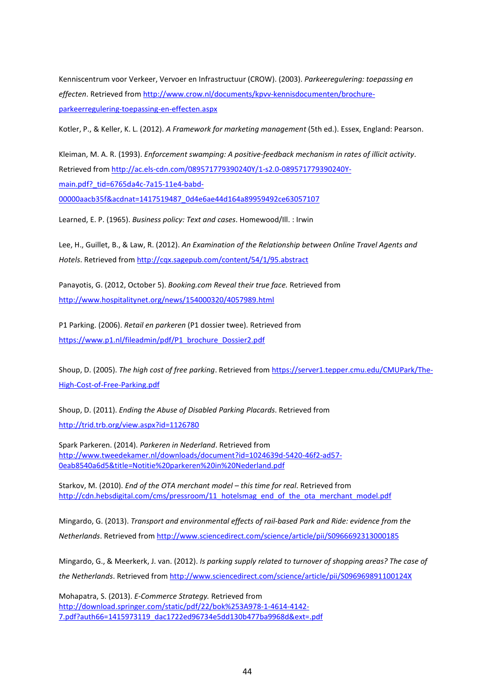Kenniscentrum voor Verkeer, Vervoer en Infrastructuur (CROW). (2003). *Parkeeregulering: toepassing en effecten*. Retrieved from [http://www.crow.nl/documents/kpvv-kennisdocumenten/brochure](http://www.crow.nl/documents/kpvv-kennisdocumenten/brochure-parkeerregulering-toepassing-en-effecten.aspx)[parkeerregulering-toepassing-en-effecten.aspx](http://www.crow.nl/documents/kpvv-kennisdocumenten/brochure-parkeerregulering-toepassing-en-effecten.aspx)

Kotler, P., & Keller, K. L. (2012). *A Framework for marketing management* (5th ed.). Essex, England: Pearson.

Kleiman, M. A. R. (1993). *Enforcement swamping: A positive-feedback mechanism in rates of illicit activity*. Retrieved from [http://ac.els-cdn.com/089571779390240Y/1-s2.0-089571779390240Y](http://ac.els-cdn.com/089571779390240Y/1-s2.0-089571779390240Y-main.pdf?_tid=6765da4c-7a15-11e4-babd-00000aacb35f&acdnat=1417519487_0d4e6ae44d164a89959492ce63057107)main.pdf? tid=6765da4c-7a15-11e4-babd-[00000aacb35f&acdnat=1417519487\\_0d4e6ae44d164a89959492ce63057107](http://ac.els-cdn.com/089571779390240Y/1-s2.0-089571779390240Y-main.pdf?_tid=6765da4c-7a15-11e4-babd-00000aacb35f&acdnat=1417519487_0d4e6ae44d164a89959492ce63057107)

Learned, E. P. (1965). *Business policy: Text and cases*. Homewood/Ill. : Irwin

Lee, H., Guillet, B., & Law, R. (2012). *An Examination of the Relationship between Online Travel Agents and Hotels*. Retrieved from<http://cqx.sagepub.com/content/54/1/95.abstract>

Panayotis, G. (2012, October 5). *Booking.com Reveal their true face.* Retrieved from <http://www.hospitalitynet.org/news/154000320/4057989.html>

P1 Parking. (2006). *Retail en parkeren* (P1 dossier twee). Retrieved from https://www.p1.nl/fileadmin/pdf/P1\_brochure\_Dossier2.pdf

Shoup, D. (2005). *The high cost of free parking*. Retrieved from https://server1.tepper.cmu.edu/CMUPark/The-High-Cost-of-Free-Parking.pdf

Shoup, D. (2011). *Ending the Abuse of Disabled Parking Placards*. Retrieved from <http://trid.trb.org/view.aspx?id=1126780>

Spark Parkeren. (2014). *Parkeren in Nederland*. Retrieved from [http://www.tweedekamer.nl/downloads/document?id=1024639d-5420-46f2-ad57-](http://www.tweedekamer.nl/downloads/document?id=1024639d-5420-46f2-ad57-0eab8540a6d5&title=Notitie%20parkeren%20in%20Nederland.pdf) [0eab8540a6d5&title=Notitie%20parkeren%20in%20Nederland.pdf](http://www.tweedekamer.nl/downloads/document?id=1024639d-5420-46f2-ad57-0eab8540a6d5&title=Notitie%20parkeren%20in%20Nederland.pdf)

Starkov, M. (2010). *End of the OTA merchant model – this time for real*. Retrieved from [http://cdn.hebsdigital.com/cms/pressroom/11\\_hotelsmag\\_end\\_of\\_the\\_ota\\_merchant\\_model.pdf](http://cdn.hebsdigital.com/cms/pressroom/11_hotelsmag_end_of_the_ota_merchant_model.pdf)

Mingardo, G. (2013). *Transport and environmental effects of rail-based Park and Ride: evidence from the Netherlands*. Retrieved from<http://www.sciencedirect.com/science/article/pii/S0966692313000185>

Mingardo, G., & Meerkerk, J. van. (2012). *Is parking supply related to turnover of shopping areas? The case of the Netherlands*. Retrieved from<http://www.sciencedirect.com/science/article/pii/S096969891100124X>

Mohapatra, S. (2013). *E-Commerce Strategy.* Retrieved from [http://download.springer.com/static/pdf/22/bok%253A978-1-4614-4142-](http://download.springer.com/static/pdf/22/bok%253A978-1-4614-4142-7.pdf?auth66=1415973119_dac1722ed96734e5dd130b477ba9968d&ext=.pdf) [7.pdf?auth66=1415973119\\_dac1722ed96734e5dd130b477ba9968d&ext=.pdf](http://download.springer.com/static/pdf/22/bok%253A978-1-4614-4142-7.pdf?auth66=1415973119_dac1722ed96734e5dd130b477ba9968d&ext=.pdf)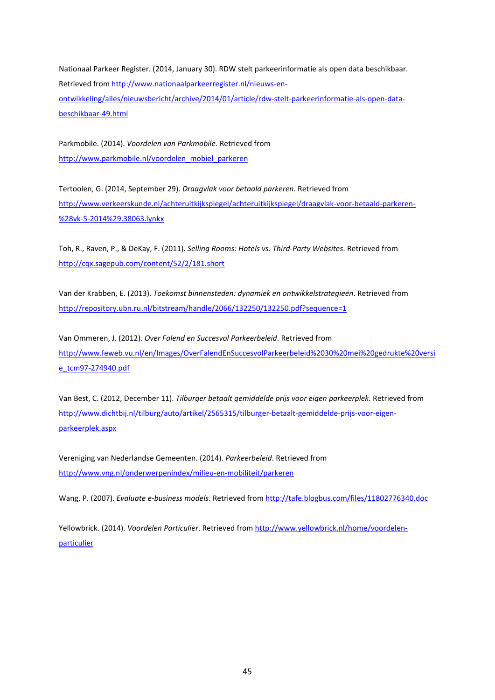Nationaal Parkeer Register. (2014, January 30). RDW stelt parkeerinformatie als open data beschikbaar. Retrieved from [http://www.nationaalparkeerregister.nl/nieuws-en](http://www.nationaalparkeerregister.nl/nieuws-en-ontwikkeling/alles/nieuwsbericht/archive/2014/01/article/rdw-stelt-parkeerinformatie-als-open-data-beschikbaar-49.html)[ontwikkeling/alles/nieuwsbericht/archive/2014/01/article/rdw-stelt-parkeerinformatie-als-open-data](http://www.nationaalparkeerregister.nl/nieuws-en-ontwikkeling/alles/nieuwsbericht/archive/2014/01/article/rdw-stelt-parkeerinformatie-als-open-data-beschikbaar-49.html)[beschikbaar-49.html](http://www.nationaalparkeerregister.nl/nieuws-en-ontwikkeling/alles/nieuwsbericht/archive/2014/01/article/rdw-stelt-parkeerinformatie-als-open-data-beschikbaar-49.html)

Parkmobile. (2014). *Voordelen van Parkmobile.* Retrieved from [http://www.parkmobile.nl/voordelen\\_mobiel\\_parkeren](http://www.parkmobile.nl/voordelen_mobiel_parkeren)

Tertoolen, G. (2014, September 29). *Draagvlak voor betaald parkeren*. Retrieved from [http://www.verkeerskunde.nl/achteruitkijkspiegel/achteruitkijkspiegel/draagvlak-voor-betaald-parkeren-](http://www.verkeerskunde.nl/achteruitkijkspiegel/achteruitkijkspiegel/draagvlak-voor-betaald-parkeren-%28vk-5-2014%29.38063.lynkx) [%28vk-5-2014%29.38063.lynkx](http://www.verkeerskunde.nl/achteruitkijkspiegel/achteruitkijkspiegel/draagvlak-voor-betaald-parkeren-%28vk-5-2014%29.38063.lynkx)

Toh, R., Raven, P., & DeKay, F. (2011). *Selling Rooms: Hotels vs. Third-Party Websites*. Retrieved from <http://cqx.sagepub.com/content/52/2/181.short>

Van der Krabben, E. (2013). *Toekomst binnensteden: dynamiek en ontwikkelstrategieën*. Retrieved from <http://repository.ubn.ru.nl/bitstream/handle/2066/132250/132250.pdf?sequence=1>

Van Ommeren, J. (2012). *Over Falend en Succesvol Parkeerbeleid*. Retrieved from [http://www.feweb.vu.nl/en/Images/OverFalendEnSuccesvolParkeerbeleid%2030%20mei%20gedrukte%20versi](http://www.feweb.vu.nl/en/Images/OverFalendEnSuccesvolParkeerbeleid 30 mei gedrukte versie_tcm97-274940.pdf) [e\\_tcm97-274940.pdf](http://www.feweb.vu.nl/en/Images/OverFalendEnSuccesvolParkeerbeleid 30 mei gedrukte versie_tcm97-274940.pdf)

Van Best, C. (2012, December 11). *Tilburger betaalt gemiddelde prijs voor eigen parkeerplek.* Retrieved from [http://www.dichtbij.nl/tilburg/auto/artikel/2565315/tilburger-betaalt-gemiddelde-prijs-voor-eigen](http://www.dichtbij.nl/tilburg/auto/artikel/2565315/tilburger-betaalt-gemiddelde-prijs-voor-eigen-parkeerplek.aspx)[parkeerplek.aspx](http://www.dichtbij.nl/tilburg/auto/artikel/2565315/tilburger-betaalt-gemiddelde-prijs-voor-eigen-parkeerplek.aspx)

Vereniging van Nederlandse Gemeenten. (2014). *Parkeerbeleid*. Retrieved from <http://www.vng.nl/onderwerpenindex/milieu-en-mobiliteit/parkeren>

Wang, P. (2007). *Evaluate e-business models*. Retrieved from<http://tafe.blogbus.com/files/11802776340.doc>

Yellowbrick. (2014). *Voordelen Particulier*. Retrieved from [http://www.yellowbrick.nl/home/voordelen](http://www.yellowbrick.nl/home/voordelen-particulier)[particulier](http://www.yellowbrick.nl/home/voordelen-particulier)